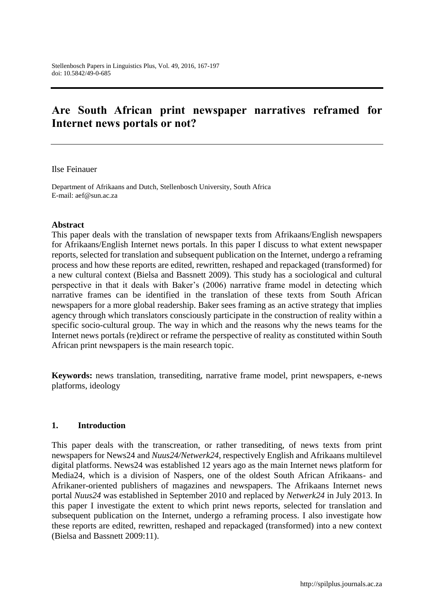# **Are South African print newspaper narratives reframed for Internet news portals or not?**

Ilse Feinauer

Department of Afrikaans and Dutch, Stellenbosch University, South Africa E-mail: aef@sun.ac.za

#### **Abstract**

This paper deals with the translation of newspaper texts from Afrikaans/English newspapers for Afrikaans/English Internet news portals. In this paper I discuss to what extent newspaper reports, selected for translation and subsequent publication on the Internet, undergo a reframing process and how these reports are edited, rewritten, reshaped and repackaged (transformed) for a new cultural context (Bielsa and Bassnett 2009). This study has a sociological and cultural perspective in that it deals with Baker's (2006) narrative frame model in detecting which narrative frames can be identified in the translation of these texts from South African newspapers for a more global readership. Baker sees framing as an active strategy that implies agency through which translators consciously participate in the construction of reality within a specific socio-cultural group. The way in which and the reasons why the news teams for the Internet news portals (re)direct or reframe the perspective of reality as constituted within South African print newspapers is the main research topic.

**Keywords:** news translation, transediting, narrative frame model, print newspapers, e-news platforms, ideology

#### **1. Introduction**

This paper deals with the transcreation, or rather transediting, of news texts from print newspapers for News24 and *Nuus24/Netwerk24*, respectively English and Afrikaans multilevel digital platforms. News24 was established 12 years ago as the main Internet news platform for Media24, which is a division of Naspers, one of the oldest South African Afrikaans- and Afrikaner-oriented publishers of magazines and newspapers. The Afrikaans Internet news portal *Nuus24* was established in September 2010 and replaced by *Netwerk24* in July 2013. In this paper I investigate the extent to which print news reports, selected for translation and subsequent publication on the Internet, undergo a reframing process. I also investigate how these reports are edited, rewritten, reshaped and repackaged (transformed) into a new context (Bielsa and Bassnett 2009:11).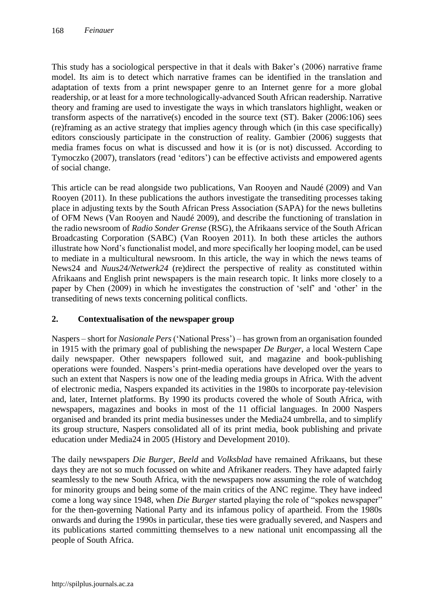This study has a sociological perspective in that it deals with Baker's (2006) narrative frame model. Its aim is to detect which narrative frames can be identified in the translation and adaptation of texts from a print newspaper genre to an Internet genre for a more global readership, or at least for a more technologically-advanced South African readership. Narrative theory and framing are used to investigate the ways in which translators highlight, weaken or transform aspects of the narrative(s) encoded in the source text (ST). Baker (2006:106) sees (re)framing as an active strategy that implies agency through which (in this case specifically) editors consciously participate in the construction of reality. Gambier (2006) suggests that media frames focus on what is discussed and how it is (or is not) discussed. According to Tymoczko (2007), translators (read 'editors') can be effective activists and empowered agents of social change.

This article can be read alongside two publications, Van Rooyen and Naudé (2009) and Van Rooyen (2011). In these publications the authors investigate the transediting processes taking place in adjusting texts by the South African Press Association (SAPA) for the news bulletins of OFM News (Van Rooyen and Naudé 2009), and describe the functioning of translation in the radio newsroom of *Radio Sonder Grense* (RSG), the Afrikaans service of the South African Broadcasting Corporation (SABC) (Van Rooyen 2011). In both these articles the authors illustrate how Nord's functionalist model, and more specifically her looping model, can be used to mediate in a multicultural newsroom. In this article, the way in which the news teams of News24 and *Nuus24/Netwerk24* (re)direct the perspective of reality as constituted within Afrikaans and English print newspapers is the main research topic. It links more closely to a paper by Chen (2009) in which he investigates the construction of 'self' and 'other' in the transediting of news texts concerning political conflicts.

## **2. Contextualisation of the newspaper group**

Naspers – short for *Nasionale Pers* ('National Press') – has grown from an organisation founded in 1915 with the primary goal of publishing the newspaper *De Burger*, a local Western Cape daily newspaper. Other newspapers followed suit, and magazine and book-publishing operations were founded. Naspers's print-media operations have developed over the years to such an extent that Naspers is now one of the leading media groups in Africa. With the advent of electronic media, Naspers expanded its activities in the 1980s to incorporate pay-television and, later, Internet platforms. By 1990 its products covered the whole of South Africa, with newspapers, magazines and books in most of the 11 official languages. In 2000 Naspers organised and branded its print media businesses under the Media24 umbrella, and to simplify its group structure, Naspers consolidated all of its print media, book publishing and private education under Media24 in 2005 (History and Development 2010).

The daily newspapers *Die Burger*, *Beeld* and *Volksblad* have remained Afrikaans, but these days they are not so much focussed on white and Afrikaner readers. They have adapted fairly seamlessly to the new South Africa, with the newspapers now assuming the role of watchdog for minority groups and being some of the main critics of the ANC regime. They have indeed come a long way since 1948, when *Die Burger* started playing the role of "spokes newspaper" for the then-governing National Party and its infamous policy of apartheid. From the 1980s onwards and during the 1990s in particular, these ties were gradually severed, and Naspers and its publications started committing themselves to a new national unit encompassing all the people of South Africa.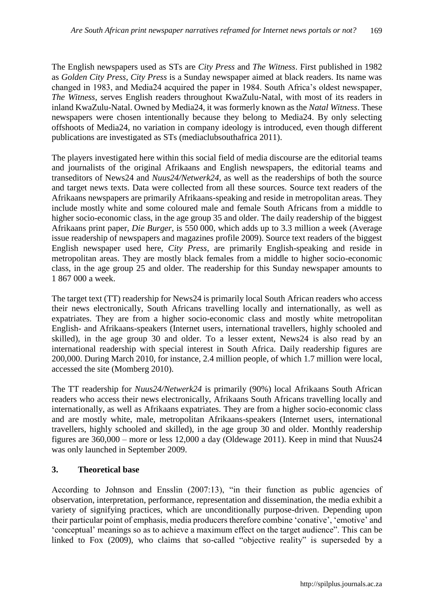The English newspapers used as STs are *City Press* and *The Witness*. First published in 1982 as *Golden City Press*, *City Press* is a Sunday newspaper aimed at black readers. Its name was changed in 1983, and Media24 acquired the paper in 1984. South Africa's oldest newspaper, *The Witness*, serves English readers throughout KwaZulu-Natal, with most of its readers in inland KwaZulu-Natal. Owned by Media24, it was formerly known as the *Natal Witness*. These newspapers were chosen intentionally because they belong to Media24. By only selecting offshoots of Media24, no variation in company ideology is introduced, even though different publications are investigated as STs (mediaclubsouthafrica 2011).

The players investigated here within this social field of media discourse are the editorial teams and journalists of the original Afrikaans and English newspapers, the editorial teams and transeditors of News24 and *Nuus24/Netwerk24*, as well as the readerships of both the source and target news texts. Data were collected from all these sources. Source text readers of the Afrikaans newspapers are primarily Afrikaans-speaking and reside in metropolitan areas. They include mostly white and some coloured male and female South Africans from a middle to higher socio-economic class, in the age group 35 and older. The daily readership of the biggest Afrikaans print paper, *Die Burger*, is 550 000, which adds up to 3.3 million a week (Average issue readership of newspapers and magazines profile 2009). Source text readers of the biggest English newspaper used here, *City Press,* are primarily English-speaking and reside in metropolitan areas. They are mostly black females from a middle to higher socio-economic class, in the age group 25 and older. The readership for this Sunday newspaper amounts to 1 867 000 a week.

The target text (TT) readership for News24 is primarily local South African readers who access their news electronically, South Africans travelling locally and internationally, as well as expatriates. They are from a higher socio-economic class and mostly white metropolitan English- and Afrikaans-speakers (Internet users, international travellers, highly schooled and skilled), in the age group 30 and older. To a lesser extent, News24 is also read by an international readership with special interest in South Africa. Daily readership figures are 200,000. During March 2010, for instance, 2.4 million people, of which 1.7 million were local, accessed the site (Momberg 2010).

The TT readership for *Nuus24/Netwerk24* is primarily (90%) local Afrikaans South African readers who access their news electronically, Afrikaans South Africans travelling locally and internationally, as well as Afrikaans expatriates. They are from a higher socio-economic class and are mostly white, male, metropolitan Afrikaans-speakers (Internet users, international travellers, highly schooled and skilled), in the age group 30 and older. Monthly readership figures are 360,000 – more or less 12,000 a day (Oldewage 2011). Keep in mind that Nuus24 was only launched in September 2009.

## **3. Theoretical base**

According to Johnson and Ensslin (2007:13), "in their function as public agencies of observation, interpretation, performance, representation and dissemination, the media exhibit a variety of signifying practices, which are unconditionally purpose-driven. Depending upon their particular point of emphasis, media producers therefore combine 'conative', 'emotive' and 'conceptual' meanings so as to achieve a maximum effect on the target audience". This can be linked to Fox (2009), who claims that so-called "objective reality" is superseded by a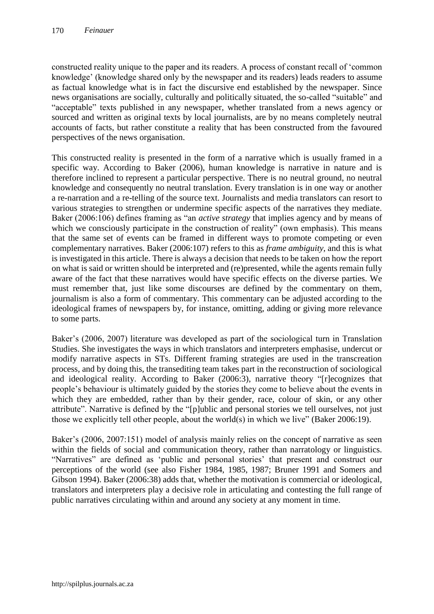constructed reality unique to the paper and its readers. A process of constant recall of 'common knowledge' (knowledge shared only by the newspaper and its readers) leads readers to assume as factual knowledge what is in fact the discursive end established by the newspaper. Since news organisations are socially, culturally and politically situated, the so-called "suitable" and "acceptable" texts published in any newspaper, whether translated from a news agency or sourced and written as original texts by local journalists, are by no means completely neutral accounts of facts, but rather constitute a reality that has been constructed from the favoured perspectives of the news organisation.

This constructed reality is presented in the form of a narrative which is usually framed in a specific way. According to Baker (2006), human knowledge is narrative in nature and is therefore inclined to represent a particular perspective. There is no neutral ground, no neutral knowledge and consequently no neutral translation. Every translation is in one way or another a re-narration and a re-telling of the source text. Journalists and media translators can resort to various strategies to strengthen or undermine specific aspects of the narratives they mediate. Baker (2006:106) defines framing as "an *active strategy* that implies agency and by means of which we consciously participate in the construction of reality" (own emphasis). This means that the same set of events can be framed in different ways to promote competing or even complementary narratives. Baker (2006:107) refers to this as *frame ambiguity*, and this is what is investigated in this article. There is always a decision that needs to be taken on how the report on what is said or written should be interpreted and (re)presented, while the agents remain fully aware of the fact that these narratives would have specific effects on the diverse parties. We must remember that, just like some discourses are defined by the commentary on them, journalism is also a form of commentary. This commentary can be adjusted according to the ideological frames of newspapers by, for instance, omitting, adding or giving more relevance to some parts.

Baker's (2006, 2007) literature was developed as part of the sociological turn in Translation Studies. She investigates the ways in which translators and interpreters emphasise, undercut or modify narrative aspects in STs. Different framing strategies are used in the transcreation process, and by doing this, the transediting team takes part in the reconstruction of sociological and ideological reality. According to Baker (2006:3), narrative theory "[r]ecognizes that people's behaviour is ultimately guided by the stories they come to believe about the events in which they are embedded, rather than by their gender, race, colour of skin, or any other attribute". Narrative is defined by the "[p]ublic and personal stories we tell ourselves, not just those we explicitly tell other people, about the world(s) in which we live" (Baker 2006:19).

Baker's (2006, 2007:151) model of analysis mainly relies on the concept of narrative as seen within the fields of social and communication theory, rather than narratology or linguistics. "Narratives" are defined as 'public and personal stories' that present and construct our perceptions of the world (see also Fisher 1984, 1985, 1987; Bruner 1991 and Somers and Gibson 1994). Baker (2006:38) adds that, whether the motivation is commercial or ideological, translators and interpreters play a decisive role in articulating and contesting the full range of public narratives circulating within and around any society at any moment in time.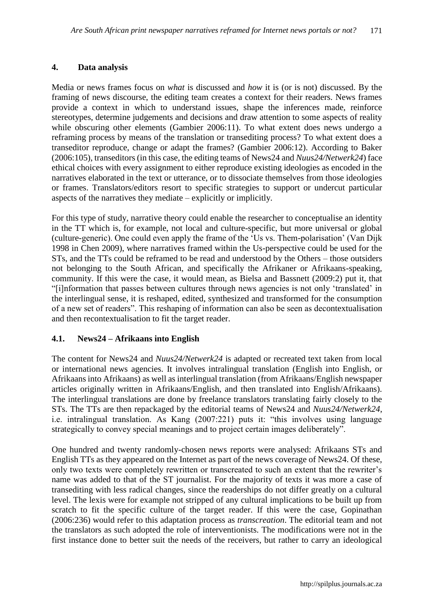### **4. Data analysis**

Media or news frames focus on *what* is discussed and *how* it is (or is not) discussed. By the framing of news discourse, the editing team creates a context for their readers. News frames provide a context in which to understand issues, shape the inferences made, reinforce stereotypes, determine judgements and decisions and draw attention to some aspects of reality while obscuring other elements (Gambier 2006:11). To what extent does news undergo a reframing process by means of the translation or transediting process? To what extent does a transeditor reproduce, change or adapt the frames? (Gambier 2006:12). According to Baker (2006:105), transeditors (in this case, the editing teams of News24 and *Nuus24/Netwerk24*) face ethical choices with every assignment to either reproduce existing ideologies as encoded in the narratives elaborated in the text or utterance, or to dissociate themselves from those ideologies or frames. Translators/editors resort to specific strategies to support or undercut particular aspects of the narratives they mediate – explicitly or implicitly.

For this type of study, narrative theory could enable the researcher to conceptualise an identity in the TT which is, for example, not local and culture-specific, but more universal or global (culture-generic). One could even apply the frame of the 'Us vs. Them-polarisation' (Van Dijk 1998 in Chen 2009), where narratives framed within the Us-perspective could be used for the STs, and the TTs could be reframed to be read and understood by the Others – those outsiders not belonging to the South African, and specifically the Afrikaner or Afrikaans-speaking, community. If this were the case, it would mean, as Bielsa and Bassnett (2009:2) put it, that "[i]nformation that passes between cultures through news agencies is not only 'translated' in the interlingual sense, it is reshaped, edited, synthesized and transformed for the consumption of a new set of readers". This reshaping of information can also be seen as decontextualisation and then recontextualisation to fit the target reader.

## **4.1. News24 – Afrikaans into English**

The content for News24 and *Nuus24/Netwerk24* is adapted or recreated text taken from local or international news agencies. It involves intralingual translation (English into English, or Afrikaans into Afrikaans) as well as interlingual translation (from Afrikaans/English newspaper articles originally written in Afrikaans/English, and then translated into English/Afrikaans). The interlingual translations are done by freelance translators translating fairly closely to the STs. The TTs are then repackaged by the editorial teams of News24 and *Nuus24/Netwerk24*, i.e. intralingual translation. As Kang (2007:221) puts it: "this involves using language strategically to convey special meanings and to project certain images deliberately".

One hundred and twenty randomly-chosen news reports were analysed: Afrikaans STs and English TTs as they appeared on the Internet as part of the news coverage of News24. Of these, only two texts were completely rewritten or transcreated to such an extent that the rewriter's name was added to that of the ST journalist. For the majority of texts it was more a case of transediting with less radical changes, since the readerships do not differ greatly on a cultural level. The lexis were for example not stripped of any cultural implications to be built up from scratch to fit the specific culture of the target reader. If this were the case, Gopinathan (2006:236) would refer to this adaptation process as *transcreation*. The editorial team and not the translators as such adopted the role of interventionists. The modifications were not in the first instance done to better suit the needs of the receivers, but rather to carry an ideological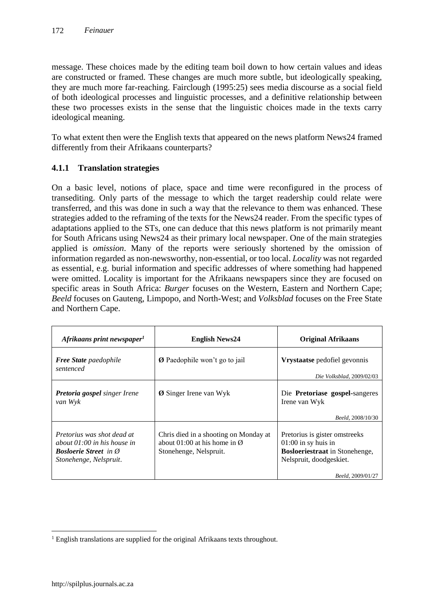message. These choices made by the editing team boil down to how certain values and ideas are constructed or framed. These changes are much more subtle, but ideologically speaking, they are much more far-reaching. Fairclough (1995:25) sees media discourse as a social field of both ideological processes and linguistic processes, and a definitive relationship between these two processes exists in the sense that the linguistic choices made in the texts carry ideological meaning.

To what extent then were the English texts that appeared on the news platform News24 framed differently from their Afrikaans counterparts?

## **4.1.1 Translation strategies**

On a basic level, notions of place, space and time were reconfigured in the process of transediting. Only parts of the message to which the target readership could relate were transferred, and this was done in such a way that the relevance to them was enhanced. These strategies added to the reframing of the texts for the News24 reader. From the specific types of adaptations applied to the STs, one can deduce that this news platform is not primarily meant for South Africans using News24 as their primary local newspaper. One of the main strategies applied is *omission*. Many of the reports were seriously shortened by the omission of information regarded as non-newsworthy, non-essential, or too local. *Locality* was not regarded as essential, e.g. burial information and specific addresses of where something had happened were omitted. Locality is important for the Afrikaans newspapers since they are focused on specific areas in South Africa: *Burger* focuses on the Western, Eastern and Northern Cape; *Beeld* focuses on Gauteng, Limpopo, and North-West; and *Volksblad* focuses on the Free State and Northern Cape.

| Afrikaans print newspaper <sup>1</sup>                                                                                | <b>English News24</b>                                                                                       | <b>Original Afrikaans</b>                                                                                                                       |
|-----------------------------------------------------------------------------------------------------------------------|-------------------------------------------------------------------------------------------------------------|-------------------------------------------------------------------------------------------------------------------------------------------------|
| <b>Free State</b> paedophile<br>sentenced                                                                             | <b>Ø</b> Paedophile won't go to jail                                                                        | Vrystaatse pedofiel gevonnis                                                                                                                    |
|                                                                                                                       |                                                                                                             | Die Volksblad, 2009/02/03                                                                                                                       |
| Pretoria gospel singer Irene<br>van Wyk                                                                               | <b>Ø</b> Singer Irene van Wyk                                                                               | Die Pretoriase gospel-sangeres<br>Irene van Wyk                                                                                                 |
|                                                                                                                       |                                                                                                             | Beeld, 2008/10/30                                                                                                                               |
| Pretorius was shot dead at<br>about $01:00$ in his house in<br><b>Bosloerie Street</b> in Ø<br>Stonehenge, Nelspruit. | Chris died in a shooting on Monday at<br>about 01:00 at his home in $\varnothing$<br>Stonehenge, Nelspruit. | Pretorius is gister omstreeks<br>$01:00$ in sy huis in<br><b>Bosloeriestraat</b> in Stonehenge,<br>Nelspruit, doodgeskiet.<br>Beeld, 2009/01/27 |

 $\overline{a}$ 

<sup>&</sup>lt;sup>1</sup> English translations are supplied for the original Afrikaans texts throughout.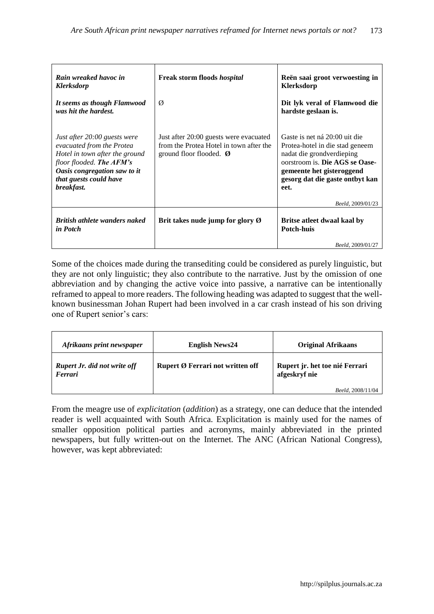| Rain wreaked havoc in<br><b>Klerksdorp</b>                                                                                                                                                      | <b>Freak storm floods <i>hospital</i></b>                                                                    | Reën saai groot verwoesting in<br>Klerksdorp                                                                                                                                                            |
|-------------------------------------------------------------------------------------------------------------------------------------------------------------------------------------------------|--------------------------------------------------------------------------------------------------------------|---------------------------------------------------------------------------------------------------------------------------------------------------------------------------------------------------------|
| It seems as though Flamwood<br>was hit the hardest.                                                                                                                                             | Ø                                                                                                            | Dit lyk veral of Flamwood die<br>hardste geslaan is.                                                                                                                                                    |
| Just after 20:00 guests were<br>evacuated from the Protea<br>Hotel in town after the ground<br>floor flooded. The AFM's<br>Oasis congregation saw to it<br>that guests could have<br>breakfast. | Just after 20:00 guests were evacuated<br>from the Protea Hotel in town after the<br>ground floor flooded. Ø | Gaste is net ná 20:00 uit die<br>Protea-hotel in die stad geneem<br>nadat die grondverdieping<br>oorstroom is. Die AGS se Oase-<br>gemeente het gisteroggend<br>gesorg dat die gaste ontbyt kan<br>eet. |
|                                                                                                                                                                                                 |                                                                                                              | Beeld, 2009/01/23                                                                                                                                                                                       |
| <b>British athlete wanders naked</b><br><i>in Potch</i>                                                                                                                                         | Brit takes nude jump for glory $\emptyset$                                                                   | Britse at eet dwaal kaal by<br><b>Potch-huis</b>                                                                                                                                                        |
|                                                                                                                                                                                                 |                                                                                                              | Beeld, 2009/01/27                                                                                                                                                                                       |

Some of the choices made during the transediting could be considered as purely linguistic, but they are not only linguistic; they also contribute to the narrative. Just by the omission of one abbreviation and by changing the active voice into passive, a narrative can be intentionally reframed to appeal to more readers. The following heading was adapted to suggest that the wellknown businessman Johan Rupert had been involved in a car crash instead of his son driving one of Rupert senior's cars:

| Afrikaans print newspaper                      | <b>English News24</b>            | <b>Original Afrikaans</b>                       |
|------------------------------------------------|----------------------------------|-------------------------------------------------|
| <b>Rupert Jr. did not write off</b><br>Ferrari | Rupert Ø Ferrari not written off | Rupert jr. het toe nié Ferrari<br>afgeskryf nie |
|                                                |                                  | Beeld, 2008/11/04                               |

From the meagre use of *explicitation* (*addition*) as a strategy, one can deduce that the intended reader is well acquainted with South Africa. Explicitation is mainly used for the names of smaller opposition political parties and acronyms, mainly abbreviated in the printed newspapers, but fully written-out on the Internet. The ANC (African National Congress), however, was kept abbreviated: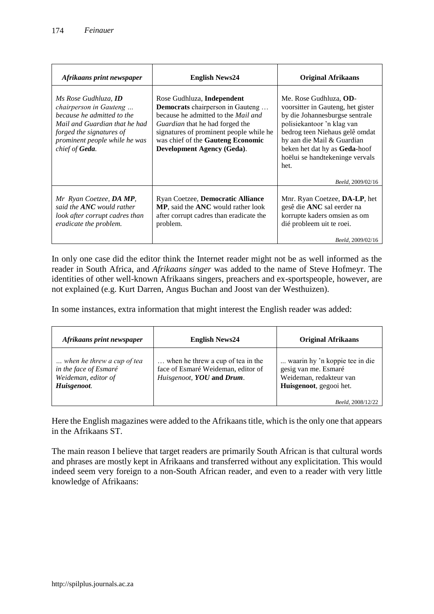| Afrikaans print newspaper                                                                                                                                                                           | <b>English News24</b>                                                                                                                                                                                                                                                | <b>Original Afrikaans</b>                                                                                                                                                                                                                                                       |
|-----------------------------------------------------------------------------------------------------------------------------------------------------------------------------------------------------|----------------------------------------------------------------------------------------------------------------------------------------------------------------------------------------------------------------------------------------------------------------------|---------------------------------------------------------------------------------------------------------------------------------------------------------------------------------------------------------------------------------------------------------------------------------|
| Ms Rose Gudhluza. <b>ID</b><br>chairperson in Gauteng<br>because he admitted to the<br>Mail and Guardian that he had<br>forged the signatures of<br>prominent people while he was<br>chief of Geda. | Rose Gudhluza, Independent<br>Democrats chairperson in Gauteng<br>because he admitted to the <i>Mail and</i><br><i>Guardian</i> that he had forged the<br>signatures of prominent people while he<br>was chief of the Gauteng Economic<br>Development Agency (Geda). | Me. Rose Gudhluza, OD-<br>voorsitter in Gauteng, het gister<br>by die Johannesburgse sentrale<br>polisiekantoor 'n klag van<br>bedrog teen Niehaus gelê omdat<br>hy aan die Mail & Guardian<br>beken het dat hy as <b>Geda</b> -hoof<br>hoëlui se handtekeninge vervals<br>het. |
|                                                                                                                                                                                                     |                                                                                                                                                                                                                                                                      | Beeld, 2009/02/16                                                                                                                                                                                                                                                               |
| Mr Ryan Coetzee, <b>DA MP</b> ,<br>said the ANC would rather<br>look after corrupt cadres than<br>eradicate the problem.                                                                            | Ryan Coetzee, Democratic Alliance<br>MP, said the ANC would rather look<br>after corrupt cadres than eradicate the<br>problem.                                                                                                                                       | Mnr. Ryan Coetzee, DA-LP, het<br>gesê die ANC sal eerder na<br>korrupte kaders omsien as om<br>dié probleem uit te roei.                                                                                                                                                        |
|                                                                                                                                                                                                     |                                                                                                                                                                                                                                                                      | Beeld, 2009/02/16                                                                                                                                                                                                                                                               |

In only one case did the editor think the Internet reader might not be as well informed as the reader in South Africa, and *Afrikaans singer* was added to the name of Steve Hofmeyr. The identities of other well-known Afrikaans singers, preachers and ex-sportspeople, however, are not explained (e.g. Kurt Darren, Angus Buchan and Joost van der Westhuizen).

In some instances, extra information that might interest the English reader was added:

| Afrikaans print newspaper                                                                 | <b>English News24</b>                                                                                | <b>Original Afrikaans</b>                                                                                                         |
|-------------------------------------------------------------------------------------------|------------------------------------------------------------------------------------------------------|-----------------------------------------------------------------------------------------------------------------------------------|
| when he threw a cup of tea<br>in the face of Esmaré<br>Weideman, editor of<br>Huisgenoot. | when he threw a cup of tea in the<br>face of Esmaré Weideman, editor of<br>Huisgenoot, YOU and Drum. | waarin hy 'n koppie tee in die<br>gesig van me. Esmaré<br>Weideman, redakteur van<br>Huisgenoot, gegooi het.<br>Beeld, 2008/12/22 |

Here the English magazines were added to the Afrikaans title, which is the only one that appears in the Afrikaans ST.

The main reason I believe that target readers are primarily South African is that cultural words and phrases are mostly kept in Afrikaans and transferred without any explicitation. This would indeed seem very foreign to a non-South African reader, and even to a reader with very little knowledge of Afrikaans: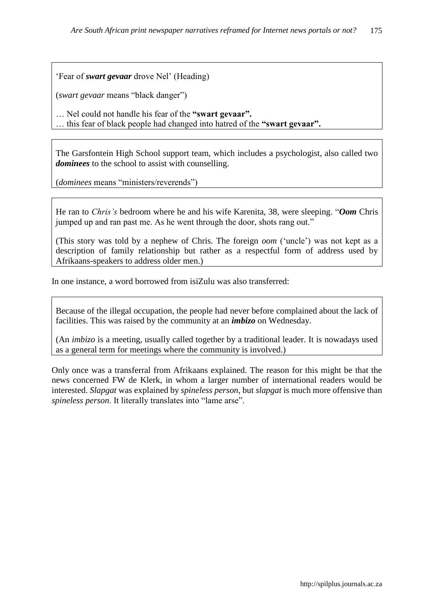'Fear of *swart gevaar* drove Nel' (Heading)

(*swart gevaar* means "black danger")

… Nel could not handle his fear of the **"swart gevaar".** 

… this fear of black people had changed into hatred of the **"swart gevaar".**

The Garsfontein High School support team, which includes a psychologist, also called two *dominees* to the school to assist with counselling.

(*dominees* means "ministers/reverends")

He ran to *Chris's* bedroom where he and his wife Karenita, 38, were sleeping. "*Oom* Chris jumped up and ran past me. As he went through the door, shots rang out."

(This story was told by a nephew of Chris. The foreign *oom* ('uncle') was not kept as a description of family relationship but rather as a respectful form of address used by Afrikaans-speakers to address older men.)

In one instance, a word borrowed from isiZulu was also transferred:

Because of the illegal occupation, the people had never before complained about the lack of facilities. This was raised by the community at an *imbizo* on Wednesday.

(An *imbizo* is a meeting, usually called together by a traditional leader. It is nowadays used as a general term for meetings where the community is involved.)

Only once was a transferral from Afrikaans explained. The reason for this might be that the news concerned FW de Klerk, in whom a larger number of international readers would be interested. *Slapgat* was explained by *spineless person*, but *slapgat* is much more offensive than *spineless person*. It literally translates into "lame arse".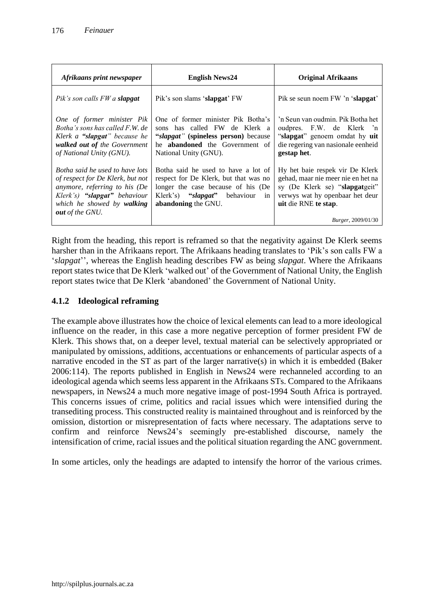| Afrikaans print newspaper        | <b>English News24</b>                 | <b>Original Afrikaans</b>          |
|----------------------------------|---------------------------------------|------------------------------------|
| Pik's son calls FW a slapgat     | Pik's son slams 'slapgat' FW          | Pik se seun noem FW 'n 'slapgat'   |
| One of former minister Pik       | One of former minister Pik Botha's    | 'n Seun van oudmin. Pik Botha het  |
| Botha's sons has called F.W. de  | sons has called FW de Klerk a         | oudpres. F.W. de Klerk 'n          |
| Klerk a "slapgat" because he     | "slapgat" (spineless person) because  | "slapgat" genoem omdat hy uit      |
| walked out of the Government     | he <b>abandoned</b> the Government of | die regering van nasionale eenheid |
| of National Unity (GNU).         | National Unity (GNU).                 | gestap het.                        |
| Botha said he used to have lots  | Botha said he used to have a lot of   | Hy het baie respek vir De Klerk    |
| of respect for De Klerk, but not | respect for De Klerk, but that was no | gehad, maar nie meer nie en het na |
| anymore, referring to his (De    | longer the case because of his (De    | sy (De Klerk se) "slapgatgeit"     |
| Klerk's) "slapgat" behaviour     | Klerk's) "slapgat" behaviour          | verwys wat hy openbaar het deur    |
| which he showed by walking       | in                                    | uit die RNE te stap.               |
| <b><i>out of the GNU.</i></b>    | abandoning the GNU.                   | <i>Burger</i> , 2009/01/30         |

Right from the heading, this report is reframed so that the negativity against De Klerk seems harsher than in the Afrikaans report. The Afrikaans heading translates to 'Pik's son calls FW a '*slapgat*'', whereas the English heading describes FW as being *slapgat*. Where the Afrikaans report states twice that De Klerk 'walked out' of the Government of National Unity, the English report states twice that De Klerk 'abandoned' the Government of National Unity.

## **4.1.2 Ideological reframing**

The example above illustrates how the choice of lexical elements can lead to a more ideological influence on the reader, in this case a more negative perception of former president FW de Klerk. This shows that, on a deeper level, textual material can be selectively appropriated or manipulated by omissions, additions, accentuations or enhancements of particular aspects of a narrative encoded in the ST as part of the larger narrative(s) in which it is embedded (Baker 2006:114). The reports published in English in News24 were rechanneled according to an ideological agenda which seems less apparent in the Afrikaans STs. Compared to the Afrikaans newspapers, in News24 a much more negative image of post-1994 South Africa is portrayed. This concerns issues of crime, politics and racial issues which were intensified during the transediting process. This constructed reality is maintained throughout and is reinforced by the omission, distortion or misrepresentation of facts where necessary. The adaptations serve to confirm and reinforce News24's seemingly pre-established discourse, namely the intensification of crime, racial issues and the political situation regarding the ANC government.

In some articles, only the headings are adapted to intensify the horror of the various crimes.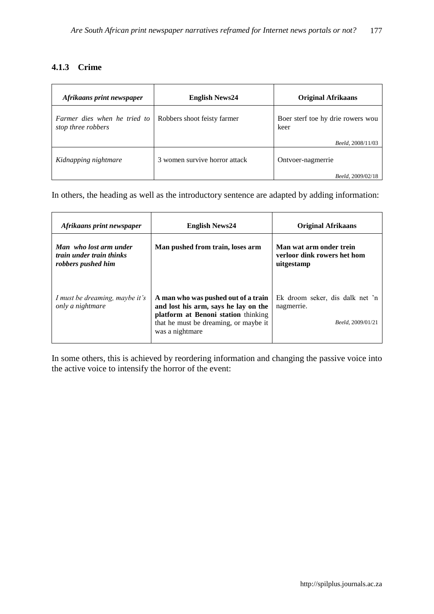## **4.1.3 Crime**

| Afrikaans print newspaper                          | <b>English News24</b>         | <b>Original Afrikaans</b>                 |
|----------------------------------------------------|-------------------------------|-------------------------------------------|
| Farmer dies when he tried to<br>stop three robbers | Robbers shoot feisty farmer   | Boer sterf toe hy drie rowers wou<br>keer |
|                                                    |                               | Beeld, 2008/11/03                         |
| Kidnapping nightmare                               | 3 women survive horror attack | Ontvoer-nagmerrie                         |
|                                                    |                               | Beeld, 2009/02/18                         |

In others, the heading as well as the introductory sentence are adapted by adding information:

| Afrikaans print newspaper                                                       | <b>English News24</b>                                                                                                                                                          | <b>Original Afrikaans</b>                                            |
|---------------------------------------------------------------------------------|--------------------------------------------------------------------------------------------------------------------------------------------------------------------------------|----------------------------------------------------------------------|
| Man who lost arm under<br><i>train under train thinks</i><br>robbers pushed him | Man pushed from train, loses arm                                                                                                                                               | Man wat arm onder trein<br>verloor dink rowers het hom<br>uitgestamp |
| I must be dreaming, maybe it's<br>only a nightmare                              | A man who was pushed out of a train<br>and lost his arm, says he lay on the<br>platform at Benoni station thinking<br>that he must be dreaming, or maybe it<br>was a nightmare | Ek droom seker, dis dalk net 'n<br>nagmerrie.<br>Beeld, 2009/01/21   |

In some others, this is achieved by reordering information and changing the passive voice into the active voice to intensify the horror of the event: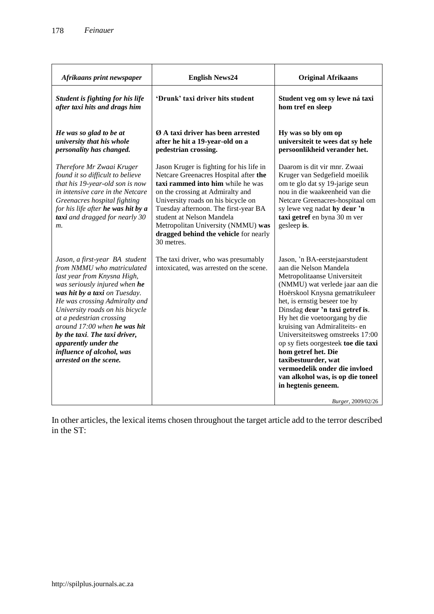| Afrikaans print newspaper                                                                                                                                                                                                                                                                                                                                                                                     | <b>English News24</b>                                                                                                                                                                                                                                                                                                                                              | <b>Original Afrikaans</b>                                                                                                                                                                                                                                                                                                                                                                                                                                                                                                                        |
|---------------------------------------------------------------------------------------------------------------------------------------------------------------------------------------------------------------------------------------------------------------------------------------------------------------------------------------------------------------------------------------------------------------|--------------------------------------------------------------------------------------------------------------------------------------------------------------------------------------------------------------------------------------------------------------------------------------------------------------------------------------------------------------------|--------------------------------------------------------------------------------------------------------------------------------------------------------------------------------------------------------------------------------------------------------------------------------------------------------------------------------------------------------------------------------------------------------------------------------------------------------------------------------------------------------------------------------------------------|
| Student is fighting for his life<br>after taxi hits and drags him                                                                                                                                                                                                                                                                                                                                             | 'Drunk' taxi driver hits student                                                                                                                                                                                                                                                                                                                                   | Student veg om sy lewe ná taxi<br>hom tref en sleep                                                                                                                                                                                                                                                                                                                                                                                                                                                                                              |
| He was so glad to be at<br>university that his whole<br>personality has changed.                                                                                                                                                                                                                                                                                                                              | Ø A taxi driver has been arrested<br>after he hit a 19-year-old on a<br>pedestrian crossing.                                                                                                                                                                                                                                                                       | Hy was so bly om op<br>universiteit te wees dat sy hele<br>persoonlikheid verander het.                                                                                                                                                                                                                                                                                                                                                                                                                                                          |
| Therefore Mr Zwaai Kruger<br>found it so difficult to believe<br>that his 19-year-old son is now<br>in intensive care in the Netcare<br>Greenacres hospital fighting<br>for his life after he was hit by a<br>taxi and dragged for nearly 30<br>$m$ .                                                                                                                                                         | Jason Kruger is fighting for his life in<br>Netcare Greenacres Hospital after the<br>taxi rammed into him while he was<br>on the crossing at Admiralty and<br>University roads on his bicycle on<br>Tuesday afternoon. The first-year BA<br>student at Nelson Mandela<br>Metropolitan University (NMMU) was<br>dragged behind the vehicle for nearly<br>30 metres. | Daarom is dit vir mnr. Zwaai<br>Kruger van Sedgefield moeilik<br>om te glo dat sy 19-jarige seun<br>nou in die waakeenheid van die<br>Netcare Greenacres-hospitaal om<br>sy lewe veg nadat hy deur 'n<br>taxi getref en byna 30 m ver<br>gesleep is.                                                                                                                                                                                                                                                                                             |
| Jason, a first-year BA student<br>from NMMU who matriculated<br>last year from Knysna High,<br>was seriously injured when he<br>was hit by a taxi on Tuesday.<br>He was crossing Admiralty and<br>University roads on his bicycle<br>at a pedestrian crossing<br>around 17:00 when he was hit<br>by the taxi. The taxi driver,<br>apparently under the<br>influence of alcohol, was<br>arrested on the scene. | The taxi driver, who was presumably<br>intoxicated, was arrested on the scene.                                                                                                                                                                                                                                                                                     | Jason, 'n BA-eerstejaarstudent<br>aan die Nelson Mandela<br>Metropolitaanse Universiteit<br>(NMMU) wat verlede jaar aan die<br>Hoërskool Knysna gematrikuleer<br>het, is ernstig beseer toe hy<br>Dinsdag deur 'n taxi getref is.<br>Hy het die voetoorgang by die<br>kruising van Admiraliteits- en<br>Universiteitsweg omstreeks 17:00<br>op sy fiets oorgesteek toe die taxi<br>hom getref het. Die<br>taxibestuurder, wat<br>vermoedelik onder die invloed<br>van alkohol was, is op die toneel<br>in hegtenis geneem.<br>Burger, 2009/02/26 |

In other articles, the lexical items chosen throughout the target article add to the terror described in the ST: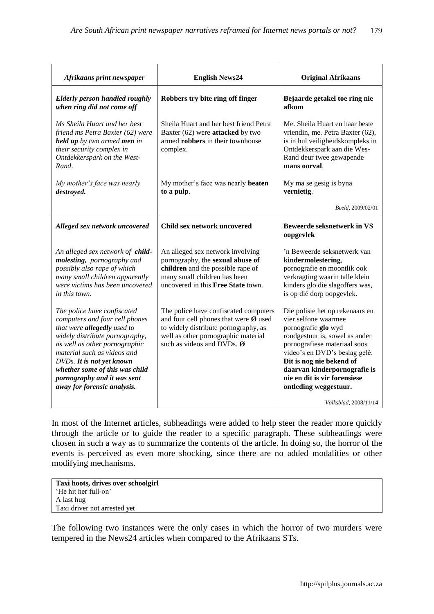| Afrikaans print newspaper                                                                                                                                                                                                                                                                                                   | <b>English News24</b>                                                                                                                                                                                 | <b>Original Afrikaans</b>                                                                                                                                                                                                                                                                              |
|-----------------------------------------------------------------------------------------------------------------------------------------------------------------------------------------------------------------------------------------------------------------------------------------------------------------------------|-------------------------------------------------------------------------------------------------------------------------------------------------------------------------------------------------------|--------------------------------------------------------------------------------------------------------------------------------------------------------------------------------------------------------------------------------------------------------------------------------------------------------|
| <b>Elderly person handled roughly</b><br>when ring did not come off                                                                                                                                                                                                                                                         | Robbers try bite ring off finger                                                                                                                                                                      | Bejaarde getakel toe ring nie<br>afkom                                                                                                                                                                                                                                                                 |
| Ms Sheila Huart and her best<br>friend ms Petra Baxter (62) were<br>held up by two armed men in<br>their security complex in<br>Ontdekkerspark on the West-<br>Rand.                                                                                                                                                        | Sheila Huart and her best friend Petra<br>Baxter (62) were attacked by two<br>armed robbers in their townhouse<br>complex.                                                                            | Me. Sheila Huart en haar beste<br>vriendin, me. Petra Baxter (62),<br>is in hul veiligheids kompleks in<br>Ontdekkerspark aan die Wes-<br>Rand deur twee gewapende<br>mans oorval.                                                                                                                     |
| My mother's face was nearly<br>destroyed.                                                                                                                                                                                                                                                                                   | My mother's face was nearly beaten<br>to a pulp.                                                                                                                                                      | My ma se gesig is byna<br>vernietig.                                                                                                                                                                                                                                                                   |
|                                                                                                                                                                                                                                                                                                                             |                                                                                                                                                                                                       | Beeld, 2009/02/01                                                                                                                                                                                                                                                                                      |
| Alleged sex network uncovered                                                                                                                                                                                                                                                                                               | Child sex network uncovered                                                                                                                                                                           | <b>Beweerde seksnetwerk in VS</b><br>oopgevlek                                                                                                                                                                                                                                                         |
| An alleged sex network of child-<br>molesting, pornography and<br>possibly also rape of which<br>many small children apparently<br>were victims has been uncovered<br>in this town.                                                                                                                                         | An alleged sex network involving<br>pornography, the sexual abuse of<br>children and the possible rape of<br>many small children has been<br>uncovered in this Free State town.                       | 'n Beweerde seksnetwerk van<br>kindermolestering,<br>pornografie en moontlik ook<br>verkragting waarin talle klein<br>kinders glo die slagoffers was,<br>is op dié dorp oopgevlek.                                                                                                                     |
| The police have confiscated<br>computers and four cell phones<br>that were allegedly used to<br>widely distribute pornography,<br>as well as other pornographic<br>material such as videos and<br>DVDs. It is not yet known<br>whether some of this was child<br>pornography and it was sent<br>away for forensic analysis. | The police have confiscated computers<br>and four cell phones that were $\emptyset$ used<br>to widely distribute pornography, as<br>well as other pornographic material<br>such as videos and DVDs. Ø | Die polisie het op rekenaars en<br>vier selfone waarmee<br>pornografie glo wyd<br>rondgestuur is, sowel as ander<br>pornografiese materiaal soos<br>video's en DVD's beslag gelê.<br>Dit is nog nie bekend of<br>daarvan kinderpornografie is<br>nie en dit is vir forensiese<br>ontleding weggestuur. |
|                                                                                                                                                                                                                                                                                                                             |                                                                                                                                                                                                       | Volksblad, 2008/11/14                                                                                                                                                                                                                                                                                  |

In most of the Internet articles, subheadings were added to help steer the reader more quickly through the article or to guide the reader to a specific paragraph. These subheadings were chosen in such a way as to summarize the contents of the article. In doing so, the horror of the events is perceived as even more shocking, since there are no added modalities or other modifying mechanisms.

| Taxi hoots, drives over schoolgirl |
|------------------------------------|
| 'He hit her full-on'               |
| A last hug                         |
| Taxi driver not arrested yet       |

The following two instances were the only cases in which the horror of two murders were tempered in the News24 articles when compared to the Afrikaans STs.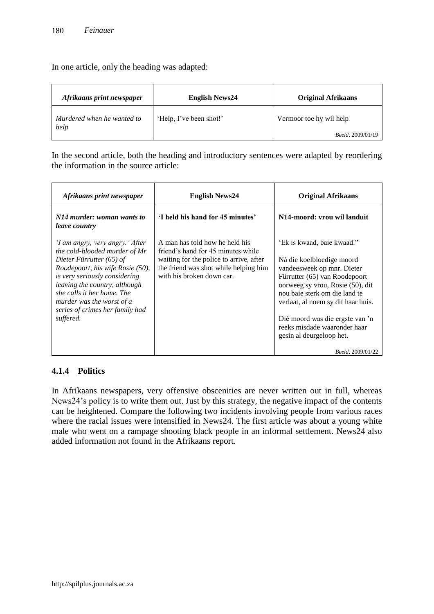In one article, only the heading was adapted:

| Afrikaans print newspaper          | <b>English News24</b>   | <b>Original Afrikaans</b> |
|------------------------------------|-------------------------|---------------------------|
| Murdered when he wanted to<br>help | 'Help, I've been shot!' | Vermoor toe hy wil help   |
|                                    |                         | Beeld, 2009/01/19         |

In the second article, both the heading and introductory sentences were adapted by reordering the information in the source article:

| Afrikaans print newspaper                                                                                                                                                                                                                                                                                     | <b>English News24</b>                                                                                                                                                                 | <b>Original Afrikaans</b>                                                                                                                                                                                                                                                                                                                             |
|---------------------------------------------------------------------------------------------------------------------------------------------------------------------------------------------------------------------------------------------------------------------------------------------------------------|---------------------------------------------------------------------------------------------------------------------------------------------------------------------------------------|-------------------------------------------------------------------------------------------------------------------------------------------------------------------------------------------------------------------------------------------------------------------------------------------------------------------------------------------------------|
| N14 murder: woman wants to<br><i>leave country</i>                                                                                                                                                                                                                                                            | 'I held his hand for 45 minutes'                                                                                                                                                      | N14-moord: yrou wil landuit                                                                                                                                                                                                                                                                                                                           |
| 'I am angry, very angry.' After<br>the cold-blooded murder of Mr<br>Dieter Fürrutter (65) of<br>Roodepoort, his wife Rosie (50),<br>is very seriously considering<br>leaving the country, although<br>she calls it her home. The<br>murder was the worst of a<br>series of crimes her family had<br>suffered. | A man has told how he held his<br>friend's hand for 45 minutes while<br>waiting for the police to arrive, after<br>the friend was shot while helping him<br>with his broken down car. | 'Ek is kwaad, baie kwaad."<br>Ná die koelbloedige moord<br>vandeesweek op mnr. Dieter<br>Fürrutter (65) van Roodepoort<br>oorweeg sy vrou, Rosie (50), dit<br>nou baje sterk om die land te<br>verlaat, al noem sy dit haar huis.<br>Dié moord was die ergste van 'n<br>reeks misdade waaronder haar<br>gesin al deurgeloop het.<br>Beeld, 2009/01/22 |

## **4.1.4 Politics**

In Afrikaans newspapers, very offensive obscenities are never written out in full, whereas News24's policy is to write them out. Just by this strategy, the negative impact of the contents can be heightened. Compare the following two incidents involving people from various races where the racial issues were intensified in News24. The first article was about a young white male who went on a rampage shooting black people in an informal settlement. News24 also added information not found in the Afrikaans report.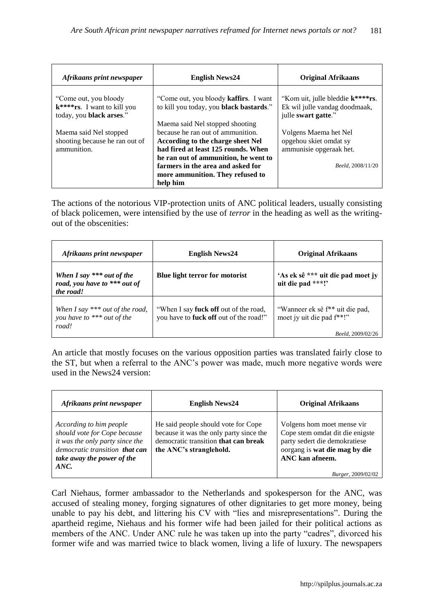| Afrikaans print newspaper                                                              | <b>English News24</b>                                                                                                                                                                                                                                                         | <b>Original Afrikaans</b>                                                                       |
|----------------------------------------------------------------------------------------|-------------------------------------------------------------------------------------------------------------------------------------------------------------------------------------------------------------------------------------------------------------------------------|-------------------------------------------------------------------------------------------------|
| "Come out, you bloody"<br>$k^{***}$ rs. I want to kill you<br>today, you black arses." | "Come out, you bloody <b>kaffirs</b> . I want<br>to kill you today, you black bastards."                                                                                                                                                                                      | "Kom uit, julle bleddie k****rs.<br>Ek wil julle vandag doodmaak,<br>julle swart gatte."        |
| Maema said Nel stopped<br>shooting because he ran out of<br>ammunition.                | Maema said Nel stopped shooting<br>because he ran out of ammunition.<br>According to the charge sheet Nel<br>had fired at least 125 rounds. When<br>he ran out of ammunition, he went to<br>farmers in the area and asked for<br>more ammunition. They refused to<br>help him | Volgens Maema het Nel<br>opgehou skiet omdat sy<br>ammunisie opgeraak het.<br>Beeld, 2008/11/20 |

The actions of the notorious VIP-protection units of ANC political leaders, usually consisting of black policemen, were intensified by the use of *terror* in the heading as well as the writingout of the obscenities:

| Afrikaans print newspaper                                                | <b>English News24</b>                                                                  | <b>Original Afrikaans</b>                                                                                 |
|--------------------------------------------------------------------------|----------------------------------------------------------------------------------------|-----------------------------------------------------------------------------------------------------------|
| When I say $***$ out of the<br>road, you have to *** out of<br>the road! | Blue light terror for motorist                                                         | 'As ek sê *** uit die pad moet jy<br>uit die pad ***!'                                                    |
| When I say $***$ out of the road,<br>you have to *** out of the<br>road! | "When I say <b>fuck off</b> out of the road,<br>you have to fuck off out of the road!" | "Wanneer ek sê f <sup>**</sup> uit die pad,<br>moet jy uit die pad f <sup>**!"</sup><br>Beeld, 2009/02/26 |

An article that mostly focuses on the various opposition parties was translated fairly close to the ST, but when a referral to the ANC's power was made, much more negative words were used in the News24 version:

| Afrikaans print newspaper                                                                                                                                          | <b>English News24</b>                                                                                                                             | <b>Original Afrikaans</b>                                                                                                                                                        |
|--------------------------------------------------------------------------------------------------------------------------------------------------------------------|---------------------------------------------------------------------------------------------------------------------------------------------------|----------------------------------------------------------------------------------------------------------------------------------------------------------------------------------|
| According to him people<br>should vote for Cope because<br>it was the only party since the<br>democratic transition that can<br>take away the power of the<br>ANC. | He said people should vote for Cope<br>because it was the only party since the<br>democratic transition that can break<br>the ANC's stranglehold. | Volgens hom moet mense vir<br>Cope stem omdat dit die enigste<br>party sedert die demokratiese<br>oorgang is wat die mag by die<br>ANC kan afneem.<br><i>Burger</i> , 2009/02/02 |

Carl Niehaus, former ambassador to the Netherlands and spokesperson for the ANC, was accused of stealing money, forging signatures of other dignitaries to get more money, being unable to pay his debt, and littering his CV with "lies and misrepresentations". During the apartheid regime, Niehaus and his former wife had been jailed for their political actions as members of the ANC. Under ANC rule he was taken up into the party "cadres", divorced his former wife and was married twice to black women, living a life of luxury. The newspapers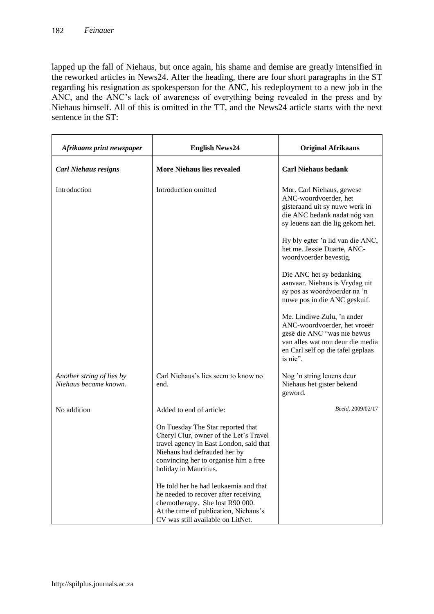lapped up the fall of Niehaus, but once again, his shame and demise are greatly intensified in the reworked articles in News24. After the heading, there are four short paragraphs in the ST regarding his resignation as spokesperson for the ANC, his redeployment to a new job in the ANC, and the ANC's lack of awareness of everything being revealed in the press and by Niehaus himself. All of this is omitted in the TT, and the News24 article starts with the next sentence in the ST:

| Afrikaans print newspaper                          | <b>English News24</b>                                                                                                                                                                                                    | <b>Original Afrikaans</b>                                                                                                                                                      |
|----------------------------------------------------|--------------------------------------------------------------------------------------------------------------------------------------------------------------------------------------------------------------------------|--------------------------------------------------------------------------------------------------------------------------------------------------------------------------------|
| <b>Carl Niehaus resigns</b>                        | <b>More Niehaus lies revealed</b>                                                                                                                                                                                        | <b>Carl Niehaus bedank</b>                                                                                                                                                     |
| Introduction                                       | Introduction omitted                                                                                                                                                                                                     | Mnr. Carl Niehaus, gewese<br>ANC-woordvoerder, het<br>gisteraand uit sy nuwe werk in<br>die ANC bedank nadat nóg van<br>sy leuens aan die lig gekom het.                       |
|                                                    |                                                                                                                                                                                                                          | Hy bly egter 'n lid van die ANC,<br>het me. Jessie Duarte, ANC-<br>woordvoerder bevestig.                                                                                      |
|                                                    |                                                                                                                                                                                                                          | Die ANC het sy bedanking<br>aanvaar. Niehaus is Vrydag uit<br>sy pos as woordvoerder na 'n<br>nuwe pos in die ANC geskuif.                                                     |
|                                                    |                                                                                                                                                                                                                          | Me. Lindiwe Zulu, 'n ander<br>ANC-woordvoerder, het vroeër<br>gesê die ANC "was nie bewus<br>van alles wat nou deur die media<br>en Carl self op die tafel geplaas<br>is nie". |
| Another string of lies by<br>Niehaus became known. | Carl Niehaus's lies seem to know no<br>end.                                                                                                                                                                              | Nog 'n string leuens deur<br>Niehaus het gister bekend<br>geword.                                                                                                              |
| No addition                                        | Added to end of article:                                                                                                                                                                                                 | Beeld, 2009/02/17                                                                                                                                                              |
|                                                    | On Tuesday The Star reported that<br>Cheryl Clur, owner of the Let's Travel<br>travel agency in East London, said that<br>Niehaus had defrauded her by<br>convincing her to organise him a free<br>holiday in Mauritius. |                                                                                                                                                                                |
|                                                    | He told her he had leukaemia and that<br>he needed to recover after receiving<br>chemotherapy. She lost R90 000.<br>At the time of publication, Niehaus's<br>CV was still available on LitNet.                           |                                                                                                                                                                                |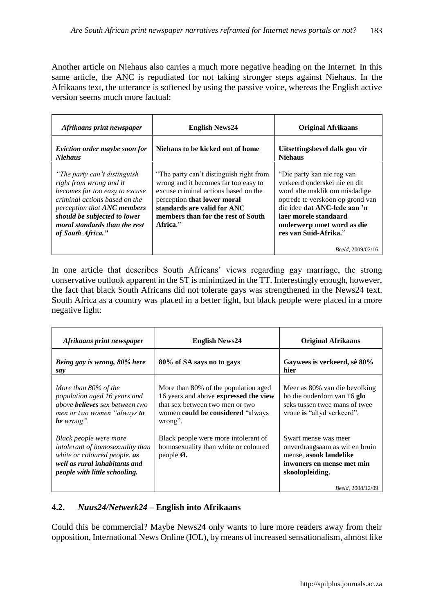Another article on Niehaus also carries a much more negative heading on the Internet. In this same article, the ANC is repudiated for not taking stronger steps against Niehaus. In the Afrikaans text, the utterance is softened by using the passive voice, whereas the English active version seems much more factual:

| Afrikaans print newspaper                                                                                                                                                                                                                       | <b>English News24</b>                                                                                                                                                                                                                   | <b>Original Afrikaans</b>                                                                                                                                                                                                                                                    |
|-------------------------------------------------------------------------------------------------------------------------------------------------------------------------------------------------------------------------------------------------|-----------------------------------------------------------------------------------------------------------------------------------------------------------------------------------------------------------------------------------------|------------------------------------------------------------------------------------------------------------------------------------------------------------------------------------------------------------------------------------------------------------------------------|
| Eviction order maybe soon for<br><b>Niehaus</b>                                                                                                                                                                                                 | Niehaus to be kicked out of home                                                                                                                                                                                                        | Uitsettingsbevel dalk gou vir<br><b>Niehaus</b>                                                                                                                                                                                                                              |
| "The party can't distinguish<br>right from wrong and it<br>becomes far too easy to excuse<br>criminal actions based on the<br>perception that ANC members<br>should be subjected to lower<br>moral standards than the rest<br>of South Africa." | "The party can't distinguish right from<br>wrong and it becomes far too easy to<br>excuse criminal actions based on the<br>perception that lower moral<br>standards are valid for ANC<br>members than for the rest of South<br>Africa." | "Die party kan nie reg van<br>verkeerd onderskei nie en dit<br>word alte maklik om misdadige<br>optrede te verskoon op grond van<br>die idee dat ANC-lede aan 'n<br>laer morele standaard<br>onderwerp moet word as die<br>res van Suid-Afrika."<br><i>Beeld.</i> 2009/02/16 |

In one article that describes South Africans' views regarding gay marriage, the strong conservative outlook apparent in the ST is minimized in the TT. Interestingly enough, however, the fact that black South Africans did not tolerate gays was strengthened in the News24 text. South Africa as a country was placed in a better light, but black people were placed in a more negative light:

| Gaywees is verkeerd, sê 80%<br>hier                                                                                                                           |
|---------------------------------------------------------------------------------------------------------------------------------------------------------------|
|                                                                                                                                                               |
| Meer as 80% van die bevolking<br>bo die ouderdom van 16 glo<br>seks tussen twee mans of twee<br>vroue is "altyd verkeerd".                                    |
| Swart mense was meer<br>onverdraagsaam as wit en bruin<br>mense, asook landelike<br>inwoners en mense met min<br>skoolopleiding.<br><i>Beeld</i> , 2008/12/09 |
|                                                                                                                                                               |

## **4.2.** *Nuus24/Netwerk24* **– English into Afrikaans**

Could this be commercial? Maybe News24 only wants to lure more readers away from their opposition, International News Online (IOL), by means of increased sensationalism, almost like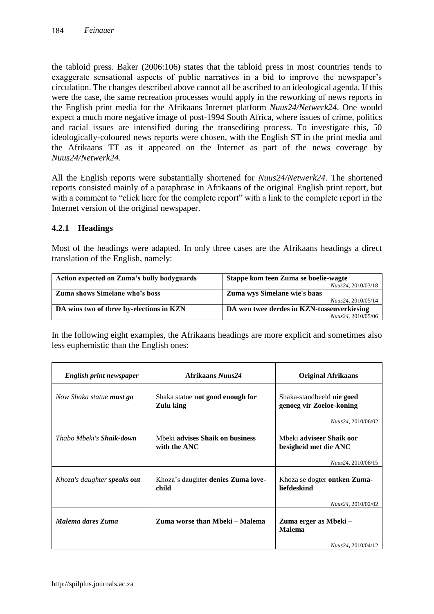the tabloid press. Baker (2006:106) states that the tabloid press in most countries tends to exaggerate sensational aspects of public narratives in a bid to improve the newspaper's circulation. The changes described above cannot all be ascribed to an ideological agenda. If this were the case, the same recreation processes would apply in the reworking of news reports in the English print media for the Afrikaans Internet platform *Nuus24/Netwerk24*. One would expect a much more negative image of post-1994 South Africa, where issues of crime, politics and racial issues are intensified during the transediting process. To investigate this, 50 ideologically-coloured news reports were chosen, with the English ST in the print media and the Afrikaans TT as it appeared on the Internet as part of the news coverage by *Nuus24/Netwerk24*.

All the English reports were substantially shortened for *Nuus24/Netwerk24*. The shortened reports consisted mainly of a paraphrase in Afrikaans of the original English print report, but with a comment to "click here for the complete report" with a link to the complete report in the Internet version of the original newspaper.

### **4.2.1 Headings**

Most of the headings were adapted. In only three cases are the Afrikaans headings a direct translation of the English, namely:

| Action expected on Zuma's bully bodyguards | Stappe kom teen Zuma se boelie-wagte       |  |
|--------------------------------------------|--------------------------------------------|--|
|                                            | Nuus24, 2010/03/18                         |  |
| <b>Zuma shows Simelane who's boss</b>      | Zuma wys Simelane wie's baas               |  |
|                                            | Nuus24, 2010/05/14                         |  |
| DA wins two of three by-elections in KZN   | DA wen twee derdes in KZN-tussenverkiesing |  |
|                                            | Nuus24, 2010/05/06                         |  |

In the following eight examples, the Afrikaans headings are more explicit and sometimes also less euphemistic than the English ones:

| <b>English print newspaper</b>     | Afrikaans Nuus24                                | <b>Original Afrikaans</b>                             |
|------------------------------------|-------------------------------------------------|-------------------------------------------------------|
| Now Shaka statue <b>must go</b>    | Shaka statue not good enough for<br>Zulu king   | Shaka-standbeeld nie goed<br>genoeg vir Zoeloe-koning |
|                                    |                                                 | Nuus24, 2010/06/02                                    |
| Thabo Mbeki's <b>Shaik-down</b>    | Mbeki advises Shaik on business<br>with the ANC | Mbeki adviseer Shaik oor<br>besigheid met die ANC     |
|                                    |                                                 | Nuus24, 2010/08/15                                    |
| Khoza's daughter <b>speaks out</b> | Khoza's daughter denies Zuma love-<br>child     | Khoza se dogter <b>ontken Zuma</b> -<br>liefdeskind   |
|                                    |                                                 | Nuus24, 2010/02/02                                    |
| Malema dares Zuma                  | Zuma worse than Mbeki – Malema                  | Zuma erger as Mbeki –<br><b>Malema</b>                |
|                                    |                                                 | Nuus24, 2010/04/12                                    |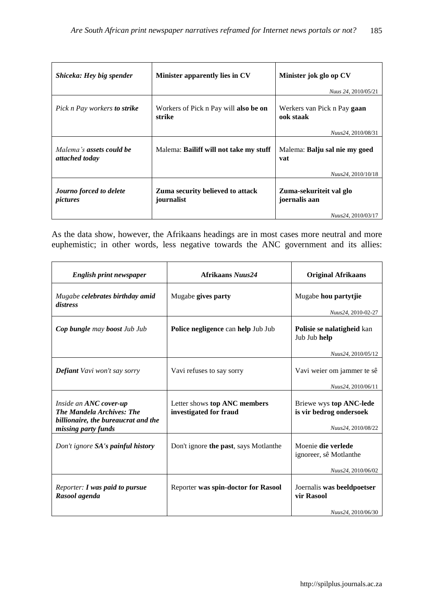| Shiceka: Hey big spender                                 | Minister apparently lies in CV                  | Minister jok glo op CV<br>Nuus 24, 2010/05/21 |
|----------------------------------------------------------|-------------------------------------------------|-----------------------------------------------|
| Pick n Pay workers to strike                             | Workers of Pick n Pay will also be on<br>strike | Werkers van Pick n Pay gaan<br>ook staak      |
|                                                          |                                                 | Nuus24, 2010/08/31                            |
| Malema's <b>assets could be</b><br><i>attached today</i> | Malema: Bailiff will not take my stuff          | Malema: Balju sal nie my goed<br>vat          |
|                                                          |                                                 | Nuus24, 2010/10/18                            |
| Journo forced to delete<br>pictures                      | Zuma security believed to attack<br>journalist  | Zuma-sekuriteit val glo<br>joernalis aan      |
|                                                          |                                                 | Nuus24, 2010/03/17                            |

As the data show, however, the Afrikaans headings are in most cases more neutral and more euphemistic; in other words, less negative towards the ANC government and its allies:

| English print newspaper                                                                           | <b>Afrikaans Nuus24</b>                                | <b>Original Afrikaans</b>                                        |
|---------------------------------------------------------------------------------------------------|--------------------------------------------------------|------------------------------------------------------------------|
| Mugabe celebrates birthday amid<br>distress                                                       | Mugabe gives party                                     | Mugabe hou partytjie                                             |
| Cop bungle may boost Jub Jub                                                                      | Police negligence can help Jub Jub                     | Nuus24, 2010-02-27<br>Polisie se nalatigheid kan<br>Jub Jub help |
|                                                                                                   |                                                        | Nuus24, 2010/05/12                                               |
| <b>Defiant</b> Vavi won't say sorry                                                               | Vavi refuses to say sorry                              | Vavi weier om jammer te sê                                       |
|                                                                                                   |                                                        | Nuus24, 2010/06/11                                               |
| Inside an ANC cover-up<br><b>The Mandela Archives: The</b><br>billionaire, the bureaucrat and the | Letter shows top ANC members<br>investigated for fraud | Briewe wys top ANC-lede<br>is vir bedrog ondersoek               |
| missing party funds                                                                               |                                                        | Nuus24, 2010/08/22                                               |
| Don't ignore <b>SA's painful history</b>                                                          | Don't ignore the past, says Motlanthe                  | Moenie die verlede<br>ignoreer, sê Motlanthe                     |
|                                                                                                   |                                                        | Nuus24, 2010/06/02                                               |
| Reporter: I was paid to pursue<br>Rasool agenda                                                   | Reporter was spin-doctor for Rasool                    | Joernalis was beeldpoetser<br>vir Rasool                         |
|                                                                                                   |                                                        | Nuus24, 2010/06/30                                               |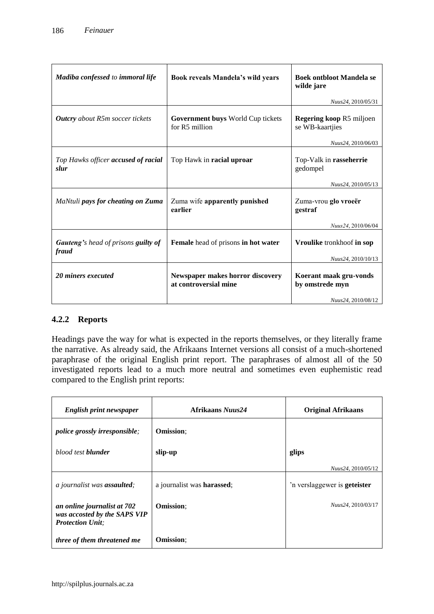| Madiba confessed to immoral life                    | Book reveals Mandela's wild years                          | <b>Boek ontbloot Mandela se</b><br>wilde jare |
|-----------------------------------------------------|------------------------------------------------------------|-----------------------------------------------|
|                                                     |                                                            | Nuus24, 2010/05/31                            |
| <b>Outcry</b> about R5m soccer tickets              | <b>Government buys World Cup tickets</b><br>for R5 million | Regering koop R5 miljoen<br>se WB-kaartjies   |
|                                                     |                                                            | Nuus24, 2010/06/03                            |
| Top Hawks officer accused of racial<br>slur         | Top Hawk in racial uproar                                  | Top-Valk in rasseherrie<br>gedompel           |
|                                                     |                                                            | Nuus24, 2010/05/13                            |
| MaNtuli pays for cheating on Zuma                   | Zuma wife apparently punished<br>earlier                   | Zuma-vrou glo vroeër<br>gestraf               |
|                                                     |                                                            | Nuus24, 2010/06/04                            |
| <b>Gauteng's head of prisons guilty of</b><br>fraud | Female head of prisons in hot water                        | Vroulike tronkhoof in sop                     |
|                                                     |                                                            | Nuus24, 2010/10/13                            |
| 20 miners executed                                  | Newspaper makes horror discovery<br>at controversial mine  | Koerant maak gru-vonds<br>by omstrede myn     |
|                                                     |                                                            | Nuus24, 2010/08/12                            |

## **4.2.2 Reports**

Headings pave the way for what is expected in the reports themselves, or they literally frame the narrative. As already said, the Afrikaans Internet versions all consist of a much-shortened paraphrase of the original English print report. The paraphrases of almost all of the 50 investigated reports lead to a much more neutral and sometimes even euphemistic read compared to the English print reports:

| English print newspaper                                                                | Afrikaans Nuus24                   | <b>Original Afrikaans</b>           |
|----------------------------------------------------------------------------------------|------------------------------------|-------------------------------------|
| <i>police grossly irresponsible;</i>                                                   | Omission;                          |                                     |
| blood test <b>blunder</b>                                                              | slip-up                            | glips                               |
|                                                                                        |                                    | Nuus24, 2010/05/12                  |
| a journalist was <b>assaulted</b> ;                                                    | a journalist was <b>harassed</b> ; | 'n verslaggewer is <b>geteister</b> |
| an online journalist at 702<br>was accosted by the SAPS VIP<br><b>Protection Unit:</b> | Omission;                          | Nuus24, 2010/03/17                  |
| three of them threatened me                                                            | <b>Omission:</b>                   |                                     |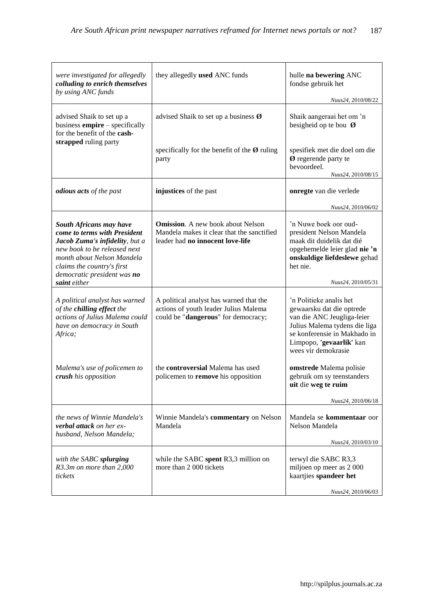| were investigated for allegedly<br>colluding to enrich themselves<br>by using ANC funds                                                                                                                                              | they allegedly used ANC funds                                                                                              | hulle na bewering ANC<br>fondse gebruik het<br>Nuus24, 2010/08/22                                                                                                                                      |
|--------------------------------------------------------------------------------------------------------------------------------------------------------------------------------------------------------------------------------------|----------------------------------------------------------------------------------------------------------------------------|--------------------------------------------------------------------------------------------------------------------------------------------------------------------------------------------------------|
| advised Shaik to set up a<br>business <b>empire</b> $-$ specifically<br>for the benefit of the cash-                                                                                                                                 | advised Shaik to set up a business $\boldsymbol{\emptyset}$                                                                | Shaik aangeraai het om 'n<br>besigheid op te bou $\emptyset$                                                                                                                                           |
| strapped ruling party                                                                                                                                                                                                                | specifically for the benefit of the $\emptyset$ ruling<br>party                                                            | spesifiek met die doel om die<br>Ø regerende party te<br>bevoordeel.<br>Nuus24, 2010/08/15                                                                                                             |
| odious acts of the past                                                                                                                                                                                                              | injustices of the past                                                                                                     | onregte van die verlede<br>Nuus24, 2010/06/02                                                                                                                                                          |
| South Africans may have<br>come to terms with President<br>Jacob Zuma's infidelity, but a<br>new book to be released next<br>month about Nelson Mandela<br>claims the country's first<br>democratic president was no<br>saint either | <b>Omission.</b> A new book about Nelson<br>Mandela makes it clear that the sanctified<br>leader had no innocent love-life | 'n Nuwe boek oor oud-<br>president Nelson Mandela<br>maak dit duidelik dat dié<br>opgehemelde leier glad nie 'n<br>onskuldige liefdeslewe gehad<br>het nie.<br>Nuus24, 2010/05/31                      |
| A political analyst has warned<br>of the chilling effect the<br>actions of Julius Malema could<br>have on democracy in South<br>Africa;                                                                                              | A political analyst has warned that the<br>actions of youth leader Julius Malema<br>could be "dangerous" for democracy;    | 'n Politieke analis het<br>gewaarsku dat die optrede<br>van die ANC Jeugliga-leier<br>Julius Malema tydens die liga<br>se konferensie in Makhado in<br>Limpopo, 'gevaarlik' kan<br>wees vir demokrasie |
| Malema's use of policemen to<br>crush his opposition                                                                                                                                                                                 | the controversial Malema has used<br>policemen to remove his opposition                                                    | omstrede Malema polisie<br>gebruik om sy teenstanders<br>uit die weg te ruim<br>Nuus24, 2010/06/18                                                                                                     |
| the news of Winnie Mandela's<br><b>verbal attack</b> on her ex-<br>husband, Nelson Mandela;                                                                                                                                          | Winnie Mandela's commentary on Nelson<br>Mandela                                                                           | Mandela se kommentaar oor<br>Nelson Mandela<br>Nuus24, 2010/03/10                                                                                                                                      |
| with the SABC splurging<br>R3.3m on more than 2,000<br>tickets                                                                                                                                                                       | while the SABC spent R3,3 million on<br>more than 2 000 tickets                                                            | terwyl die SABC R3,3<br>miljoen op meer as 2 000<br>kaartjies spandeer het                                                                                                                             |
|                                                                                                                                                                                                                                      |                                                                                                                            | Nuus24, 2010/06/03                                                                                                                                                                                     |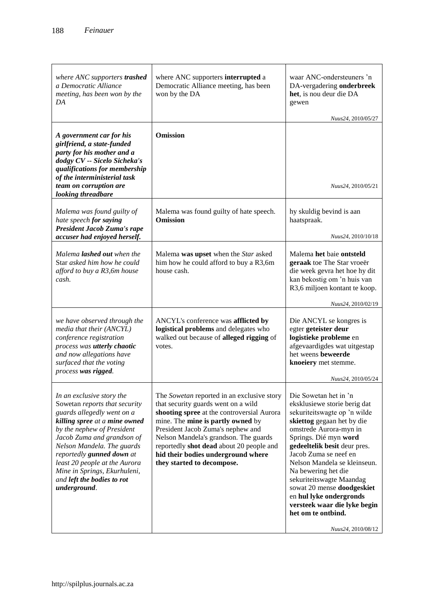| where ANC supporters trashed<br>a Democratic Alliance<br>meeting, has been won by the<br>DA                                                                                                                                                                                                                                                                     | where ANC supporters interrupted a<br>Democratic Alliance meeting, has been<br>won by the DA                                                                                                                                                                                                                                                                       | waar ANC-ondersteuners 'n<br>DA-vergadering onderbreek<br>het, is nou deur die DA<br>gewen                                                                                                                                                                                                                                                                                                                                                              |
|-----------------------------------------------------------------------------------------------------------------------------------------------------------------------------------------------------------------------------------------------------------------------------------------------------------------------------------------------------------------|--------------------------------------------------------------------------------------------------------------------------------------------------------------------------------------------------------------------------------------------------------------------------------------------------------------------------------------------------------------------|---------------------------------------------------------------------------------------------------------------------------------------------------------------------------------------------------------------------------------------------------------------------------------------------------------------------------------------------------------------------------------------------------------------------------------------------------------|
| A government car for his<br>girlfriend, a state-funded<br>party for his mother and a<br>dodgy CV -- Sicelo Sicheka's<br>qualifications for membership<br>of the interministerial task<br>team on corruption are<br>looking threadbare                                                                                                                           | <b>Omission</b>                                                                                                                                                                                                                                                                                                                                                    | Nuus24, 2010/05/27<br>Nuus24, 2010/05/21                                                                                                                                                                                                                                                                                                                                                                                                                |
| Malema was found guilty of<br>hate speech for saying<br>President Jacob Zuma's rape<br>accuser had enjoyed herself.                                                                                                                                                                                                                                             | Malema was found guilty of hate speech.<br><b>Omission</b>                                                                                                                                                                                                                                                                                                         | hy skuldig bevind is aan<br>haatspraak.<br>Nuus24, 2010/10/18                                                                                                                                                                                                                                                                                                                                                                                           |
| Malema <b>lashed out</b> when the<br>Star asked him how he could<br>afford to buy a R3,6m house<br>cash.                                                                                                                                                                                                                                                        | Malema was upset when the Star asked<br>him how he could afford to buy a R3,6m<br>house cash.                                                                                                                                                                                                                                                                      | Malema het baie ontsteld<br>geraak toe The Star vroeër<br>die week gevra het hoe hy dit<br>kan bekostig om 'n huis van<br>R3,6 miljoen kontant te koop.<br>Nuus24, 2010/02/19                                                                                                                                                                                                                                                                           |
| we have observed through the<br>media that their (ANCYL)<br>conference registration<br>process was utterly chaotic<br>and now allegations have<br>surfaced that the voting<br>process was rigged.                                                                                                                                                               | ANCYL's conference was afflicted by<br>logistical problems and delegates who<br>walked out because of alleged rigging of<br>votes.                                                                                                                                                                                                                                 | Die ANCYL se kongres is<br>egter geteister deur<br>logistieke probleme en<br>afgevaardigdes wat uitgestap<br>het weens beweerde<br>knoeiery met stemme.<br>Nuus24, 2010/05/24                                                                                                                                                                                                                                                                           |
| In an exclusive story the<br>Sowetan reports that security<br>guards allegedly went on a<br>killing spree at a mine owned<br>by the nephew of President<br>Jacob Zuma and grandson of<br>Nelson Mandela. The guards<br>reportedly gunned down at<br>least 20 people at the Aurora<br>Mine in Springs, Ekurhuleni,<br>and left the bodies to rot<br>underground. | The Sowetan reported in an exclusive story<br>that security guards went on a wild<br>shooting spree at the controversial Aurora<br>mine. The mine is partly owned by<br>President Jacob Zuma's nephew and<br>Nelson Mandela's grandson. The guards<br>reportedly shot dead about 20 people and<br>hid their bodies underground where<br>they started to decompose. | Die Sowetan het in 'n<br>eksklusiewe storie berig dat<br>sekuriteitswagte op 'n wilde<br>skiettog gegaan het by die<br>omstrede Aurora-myn in<br>Springs. Dié myn word<br>gedeeltelik besit deur pres.<br>Jacob Zuma se neef en<br>Nelson Mandela se kleinseun.<br>Na bewering het die<br>sekuriteitswagte Maandag<br>sowat 20 mense doodgeskiet<br>en hul lyke ondergronds<br>versteek waar die lyke begin<br>het om te ontbind.<br>Nuus24, 2010/08/12 |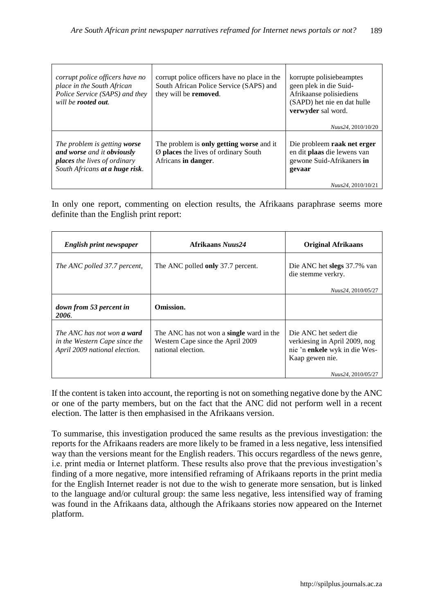| corrupt police officers have no<br>place in the South African<br>Police Service (SAPS) and they<br>will be <b>rooted</b> out.       | corrupt police officers have no place in the<br>South African Police Service (SAPS) and<br>they will be removed.         | korrupte polisiebeamptes<br>geen plek in die Suid-<br>Afrikaanse polisiediens<br>(SAPD) het nie en dat hulle<br>verwyder sal word.            |
|-------------------------------------------------------------------------------------------------------------------------------------|--------------------------------------------------------------------------------------------------------------------------|-----------------------------------------------------------------------------------------------------------------------------------------------|
| The problem is getting worse<br>and worse and it obviously<br><b>places</b> the lives of ordinary<br>South Africans at a huge risk. | The problem is <b>only getting worse</b> and it<br>$\emptyset$ places the lives of ordinary South<br>Africans in danger. | Nuus24, 2010/10/20<br>Die probleem raak net erger<br>en dit plaas die lewens van<br>gewone Suid-Afrikaners in<br>gevaar<br>Nuus24, 2010/10/21 |

In only one report, commenting on election results, the Afrikaans paraphrase seems more definite than the English print report:

| English print newspaper                                                                             | Afrikaans Nuus24                                                                                           | <b>Original Afrikaans</b>                                                                                   |  |
|-----------------------------------------------------------------------------------------------------|------------------------------------------------------------------------------------------------------------|-------------------------------------------------------------------------------------------------------------|--|
| The ANC polled 37.7 percent,                                                                        | The ANC polled only 37.7 percent.                                                                          | Die ANC het slegs 37.7% van<br>die stemme verkry.                                                           |  |
|                                                                                                     |                                                                                                            | Nuus24, 2010/05/27                                                                                          |  |
| down from 53 percent in<br>2006.                                                                    | Omission.                                                                                                  |                                                                                                             |  |
| The ANC has not won <b>a ward</b><br>in the Western Cape since the<br>April 2009 national election. | The ANC has not won a <b>single</b> ward in the<br>Western Cape since the April 2009<br>national election. | Die ANC het sedert die<br>verkiesing in April 2009, nog<br>nie 'n enkele wyk in die Wes-<br>Kaap gewen nie. |  |
|                                                                                                     |                                                                                                            | Nuus24, 2010/05/27                                                                                          |  |

If the content is taken into account, the reporting is not on something negative done by the ANC or one of the party members, but on the fact that the ANC did not perform well in a recent election. The latter is then emphasised in the Afrikaans version.

To summarise, this investigation produced the same results as the previous investigation: the reports for the Afrikaans readers are more likely to be framed in a less negative, less intensified way than the versions meant for the English readers. This occurs regardless of the news genre, i.e. print media or Internet platform. These results also prove that the previous investigation's finding of a more negative, more intensified reframing of Afrikaans reports in the print media for the English Internet reader is not due to the wish to generate more sensation, but is linked to the language and/or cultural group: the same less negative, less intensified way of framing was found in the Afrikaans data, although the Afrikaans stories now appeared on the Internet platform.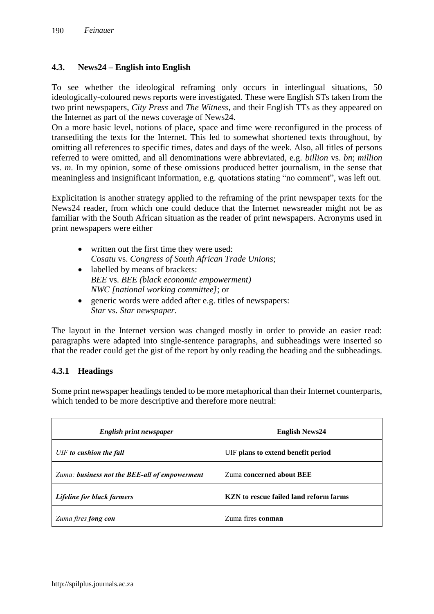## **4.3. News24 – English into English**

To see whether the ideological reframing only occurs in interlingual situations, 50 ideologically-coloured news reports were investigated. These were English STs taken from the two print newspapers, *City Press* and *The Witness*, and their English TTs as they appeared on the Internet as part of the news coverage of News24.

On a more basic level, notions of place, space and time were reconfigured in the process of transediting the texts for the Internet. This led to somewhat shortened texts throughout, by omitting all references to specific times, dates and days of the week. Also, all titles of persons referred to were omitted, and all denominations were abbreviated, e.g. *billion* vs. *bn*; *million* vs. *m*. In my opinion, some of these omissions produced better journalism, in the sense that meaningless and insignificant information, e.g. quotations stating "no comment", was left out.

Explicitation is another strategy applied to the reframing of the print newspaper texts for the News24 reader, from which one could deduce that the Internet newsreader might not be as familiar with the South African situation as the reader of print newspapers. Acronyms used in print newspapers were either

- written out the first time they were used: *Cosatu* vs. *Congress of South African Trade Unions*;
- labelled by means of brackets: *BEE* vs. *BEE (black economic empowerment) NWC [national working committee]*; or
- generic words were added after e.g. titles of newspapers: *Star* vs. *Star newspaper*.

The layout in the Internet version was changed mostly in order to provide an easier read: paragraphs were adapted into single-sentence paragraphs, and subheadings were inserted so that the reader could get the gist of the report by only reading the heading and the subheadings.

## **4.3.1 Headings**

Some print newspaper headings tended to be more metaphorical than their Internet counterparts, which tended to be more descriptive and therefore more neutral:

| English print newspaper                       | <b>English News24</b>                         |
|-----------------------------------------------|-----------------------------------------------|
| UIF to cushion the fall                       | UIF plans to extend benefit period            |
| Zuma: business not the BEE-all of empowerment | Zuma concerned about BEE                      |
| Lifeline for black farmers                    | <b>KZN</b> to rescue failed land reform farms |
| Zuma fires fong con                           | Zuma fires conman                             |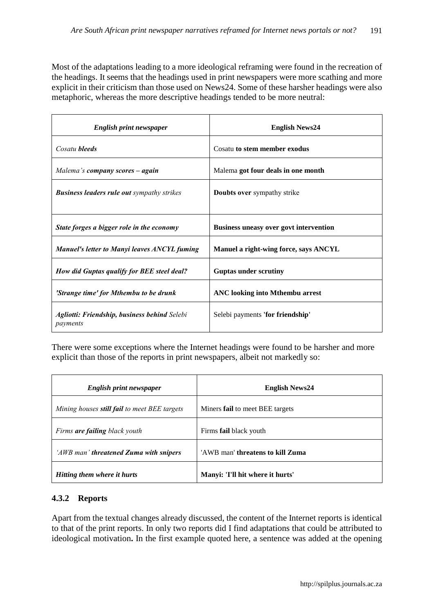Most of the adaptations leading to a more ideological reframing were found in the recreation of the headings. It seems that the headings used in print newspapers were more scathing and more explicit in their criticism than those used on News24. Some of these harsher headings were also metaphoric, whereas the more descriptive headings tended to be more neutral:

| English print newspaper                                         | <b>English News24</b>                         |
|-----------------------------------------------------------------|-----------------------------------------------|
| Cosatu <b>bleeds</b>                                            | Cosatu to stem member exodus                  |
| Malema's company scores - again                                 | Malema got four deals in one month            |
| <b>Business leaders rule out sympathy strikes</b>               | <b>Doubts over sympathy strike</b>            |
| State forges a bigger role in the economy                       | <b>Business uneasy over govt intervention</b> |
| <b>Manuel's letter to Manyi leaves ANCYL fuming</b>             | Manuel a right-wing force, says ANCYL         |
| How did Guptas qualify for BEE steel deal?                      | <b>Guptas under scrutiny</b>                  |
| 'Strange time' for Mthembu to be drunk                          | <b>ANC</b> looking into Mthembu arrest        |
| <b>Agliotti: Friendship, business behind Selebi</b><br>payments | Selebi payments 'for friendship'              |

There were some exceptions where the Internet headings were found to be harsher and more explicit than those of the reports in print newspapers, albeit not markedly so:

| English print newspaper                             | <b>English News24</b>                  |
|-----------------------------------------------------|----------------------------------------|
| Mining houses <b>still fail</b> to meet BEE targets | Miners <b>fail</b> to meet BEE targets |
| Firms are failing black youth                       | Firms <b>fail</b> black youth          |
| 'AWB man' threatened Zuma with snipers              | 'AWB man' threatens to kill Zuma       |
| Hitting them where it hurts                         | Manyi: 'I'll hit where it hurts'       |

## **4.3.2 Reports**

Apart from the textual changes already discussed, the content of the Internet reports is identical to that of the print reports. In only two reports did I find adaptations that could be attributed to ideological motivation**.** In the first example quoted here, a sentence was added at the opening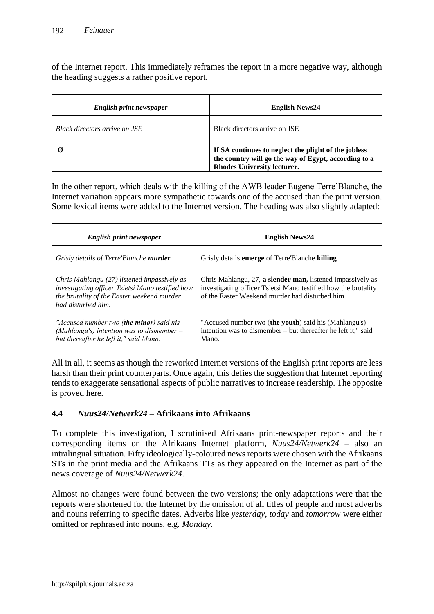of the Internet report. This immediately reframes the report in a more negative way, although the heading suggests a rather positive report.

| English print newspaper       | <b>English News24</b>                                                                                                                              |
|-------------------------------|----------------------------------------------------------------------------------------------------------------------------------------------------|
| Black directors arrive on JSE | Black directors arrive on JSE                                                                                                                      |
| и                             | If SA continues to neglect the plight of the jobless<br>the country will go the way of Egypt, according to a<br><b>Rhodes University lecturer.</b> |

In the other report, which deals with the killing of the AWB leader Eugene Terre'Blanche, the Internet variation appears more sympathetic towards one of the accused than the print version. Some lexical items were added to the Internet version. The heading was also slightly adapted:

| English print newspaper                                                                                                                                             | <b>English News24</b>                                                                                                                                                           |
|---------------------------------------------------------------------------------------------------------------------------------------------------------------------|---------------------------------------------------------------------------------------------------------------------------------------------------------------------------------|
| Grisly details of Terre'Blanche <b>murder</b>                                                                                                                       | Grisly details <b>emerge</b> of Terre'Blanche <b>killing</b>                                                                                                                    |
| Chris Mahlangu (27) listened impassively as<br>investigating officer Tsietsi Mano testified how<br>the brutality of the Easter weekend murder<br>had disturbed him. | Chris Mahlangu, 27, a slender man, listened impassively as<br>investigating officer Tsietsi Mano testified how the brutality<br>of the Easter Weekend murder had disturbed him. |
| "Accused number two ( <b>the minor</b> ) said his<br>(Mahlangu's) intention was to dismember $-$<br>but thereafter he left it," said Mano.                          | "Accused number two (the youth) said his (Mahlangu's)<br>intention was to dismember – but thereafter he left it," said<br>Mano.                                                 |

All in all, it seems as though the reworked Internet versions of the English print reports are less harsh than their print counterparts. Once again, this defies the suggestion that Internet reporting tends to exaggerate sensational aspects of public narratives to increase readership. The opposite is proved here.

## **4.4** *Nuus24/Netwerk24* **– Afrikaans into Afrikaans**

To complete this investigation, I scrutinised Afrikaans print-newspaper reports and their corresponding items on the Afrikaans Internet platform, *Nuus24/Netwerk24* – also an intralingual situation. Fifty ideologically-coloured news reports were chosen with the Afrikaans STs in the print media and the Afrikaans TTs as they appeared on the Internet as part of the news coverage of *Nuus24/Netwerk24*.

Almost no changes were found between the two versions; the only adaptations were that the reports were shortened for the Internet by the omission of all titles of people and most adverbs and nouns referring to specific dates. Adverbs like *yesterday*, *today* and *tomorrow* were either omitted or rephrased into nouns, e.g. *Monday*.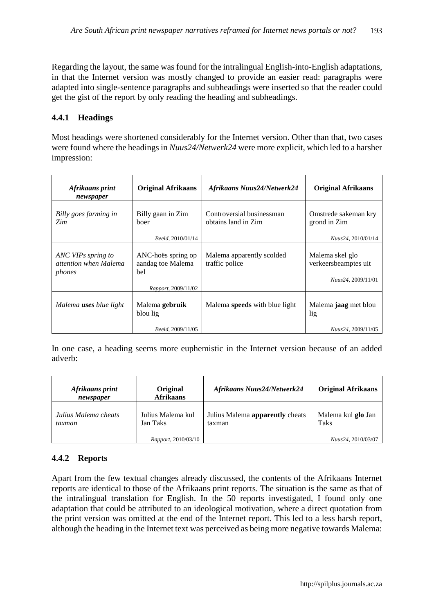Regarding the layout, the same was found for the intralingual English-into-English adaptations, in that the Internet version was mostly changed to provide an easier read: paragraphs were adapted into single-sentence paragraphs and subheadings were inserted so that the reader could get the gist of the report by only reading the heading and subheadings.

### **4.4.1 Headings**

Most headings were shortened considerably for the Internet version. Other than that, two cases were found where the headings in *Nuus24/Netwerk24* were more explicit, which led to a harsher impression:

| Afrikaans print<br>newspaper                          | <b>Original Afrikaans</b>                                             | <b>Afrikaans Nuus24/Netwerk24</b>                | <b>Original Afrikaans</b>                                     |
|-------------------------------------------------------|-----------------------------------------------------------------------|--------------------------------------------------|---------------------------------------------------------------|
| Billy goes farming in<br>Zim                          | Billy gaan in Zim<br>boer                                             | Controversial businessman<br>obtains land in Zim | Omstrede sakeman kry<br>grond in Zim                          |
|                                                       | Beeld, 2010/01/14                                                     |                                                  | Nuus24, 2010/01/14                                            |
| ANC VIPs spring to<br>attention when Malema<br>phones | ANC-hoës spring op<br>aandag toe Malema<br>bel<br>Rapport, 2009/11/02 | Malema apparently scolded<br>traffic police      | Malema skel glo<br>verkeersbeamptes uit<br>Nuus24, 2009/11/01 |
| Malema <b>uses</b> blue light                         | Malema gebruik<br>blou lig<br>Beeld, 2009/11/05                       | Malema speeds with blue light                    | Malema jaag met blou<br>lig<br>Nuus24, 2009/11/05             |

In one case, a heading seems more euphemistic in the Internet version because of an added adverb:

| Afrikaans print<br>newspaper   | Original<br><b>Afrikaans</b>  | Afrikaans Nuus24/Netwerk24                       | <b>Original Afrikaans</b>         |
|--------------------------------|-------------------------------|--------------------------------------------------|-----------------------------------|
| Julius Malema cheats<br>taxman | Julius Malema kul<br>Jan Taks | Julius Malema <b>apparently</b> cheats<br>taxman | Malema kul glo Jan<br><b>Taks</b> |
|                                | Rapport, 2010/03/10           |                                                  | Nuus24, 2010/03/07                |

## **4.4.2 Reports**

Apart from the few textual changes already discussed, the contents of the Afrikaans Internet reports are identical to those of the Afrikaans print reports. The situation is the same as that of the intralingual translation for English. In the 50 reports investigated, I found only one adaptation that could be attributed to an ideological motivation, where a direct quotation from the print version was omitted at the end of the Internet report. This led to a less harsh report, although the heading in the Internet text was perceived as being more negative towards Malema: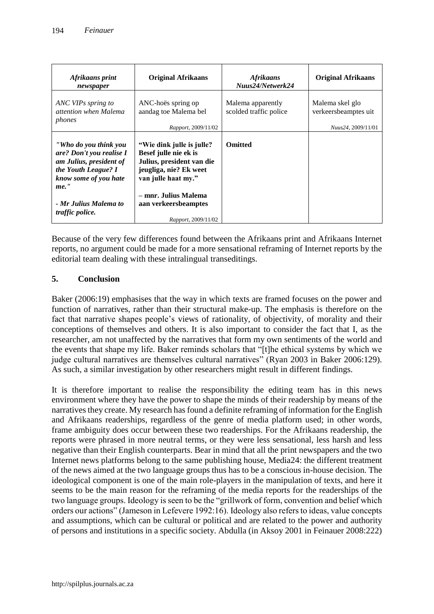| Afrikaans print<br>newspaper                                                                                                            | <b>Original Afrikaans</b>                                                                                                         | <b>Afrikaans</b><br>Nuus24/Netwerk24        | <b>Original Afrikaans</b>               |
|-----------------------------------------------------------------------------------------------------------------------------------------|-----------------------------------------------------------------------------------------------------------------------------------|---------------------------------------------|-----------------------------------------|
| ANC VIPs spring to<br>attention when Malema<br>phones                                                                                   | ANC-hoës spring op<br>aandag toe Malema bel                                                                                       | Malema apparently<br>scolded traffic police | Malema skel glo<br>verkeersbeamptes uit |
|                                                                                                                                         | Rapport, 2009/11/02                                                                                                               |                                             | Nuus24, 2009/11/01                      |
| "Who do you think you<br>are? Don't you realise I<br>am Julius, president of<br>the Youth League? I<br>know some of you hate<br>$me.$ " | "Wie dink julle is julle?"<br>Besef julle nie ek is<br>Julius, president van die<br>jeugliga, nie? Ek weet<br>van julle haat my." | <b>Omitted</b>                              |                                         |
| - Mr Julius Malema to<br>traffic police.                                                                                                | – mnr. Julius Malema<br>aan verkeersbeamptes<br>Rapport, 2009/11/02                                                               |                                             |                                         |

Because of the very few differences found between the Afrikaans print and Afrikaans Internet reports, no argument could be made for a more sensational reframing of Internet reports by the editorial team dealing with these intralingual transeditings.

# **5. Conclusion**

Baker (2006:19) emphasises that the way in which texts are framed focuses on the power and function of narratives, rather than their structural make-up. The emphasis is therefore on the fact that narrative shapes people's views of rationality, of objectivity, of morality and their conceptions of themselves and others. It is also important to consider the fact that I, as the researcher, am not unaffected by the narratives that form my own sentiments of the world and the events that shape my life. Baker reminds scholars that "[t]he ethical systems by which we judge cultural narratives are themselves cultural narratives" (Ryan 2003 in Baker 2006:129). As such, a similar investigation by other researchers might result in different findings.

It is therefore important to realise the responsibility the editing team has in this news environment where they have the power to shape the minds of their readership by means of the narratives they create. My research has found a definite reframing of information for the English and Afrikaans readerships, regardless of the genre of media platform used; in other words, frame ambiguity does occur between these two readerships. For the Afrikaans readership, the reports were phrased in more neutral terms, or they were less sensational, less harsh and less negative than their English counterparts. Bear in mind that all the print newspapers and the two Internet news platforms belong to the same publishing house, Media24: the different treatment of the news aimed at the two language groups thus has to be a conscious in-house decision. The ideological component is one of the main role-players in the manipulation of texts, and here it seems to be the main reason for the reframing of the media reports for the readerships of the two language groups. Ideology is seen to be the "grillwork of form, convention and belief which orders our actions" (Jameson in Lefevere 1992:16). Ideology also refers to ideas, value concepts and assumptions, which can be cultural or political and are related to the power and authority of persons and institutions in a specific society. Abdulla (in Aksoy 2001 in Feinauer 2008:222)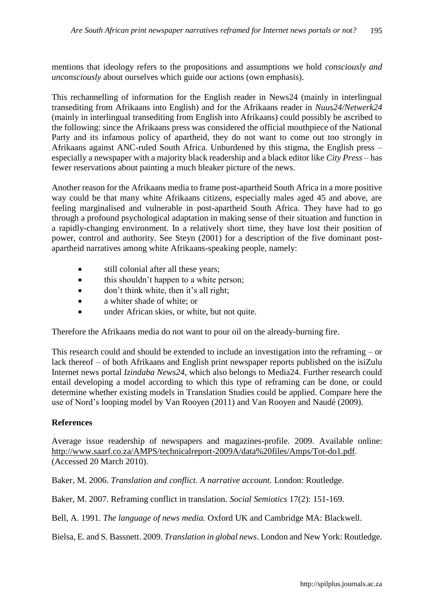mentions that ideology refers to the propositions and assumptions we hold *consciously and unconsciously* about ourselves which guide our actions (own emphasis).

This rechannelling of information for the English reader in News24 (mainly in interlingual transediting from Afrikaans into English) and for the Afrikaans reader in *Nuus24/Netwerk24* (mainly in interlingual transediting from English into Afrikaans) could possibly be ascribed to the following: since the Afrikaans press was considered the official mouthpiece of the National Party and its infamous policy of apartheid, they do not want to come out too strongly in Afrikaans against ANC-ruled South Africa. Unburdened by this stigma, the English press – especially a newspaper with a majority black readership and a black editor like *City Press* – has fewer reservations about painting a much bleaker picture of the news.

Another reason for the Afrikaans media to frame post-apartheid South Africa in a more positive way could be that many white Afrikaans citizens, especially males aged 45 and above, are feeling marginalised and vulnerable in post-apartheid South Africa. They have had to go through a profound psychological adaptation in making sense of their situation and function in a rapidly-changing environment. In a relatively short time, they have lost their position of power, control and authority. See Steyn (2001) for a description of the five dominant postapartheid narratives among white Afrikaans-speaking people, namely:

- still colonial after all these years;
- this shouldn't happen to a white person;
- don't think white, then it's all right:
- a whiter shade of white: or
- under African skies, or white, but not quite.

Therefore the Afrikaans media do not want to pour oil on the already-burning fire.

This research could and should be extended to include an investigation into the reframing – or lack thereof – of both Afrikaans and English print newspaper reports published on the isiZulu Internet news portal *Izindaba News24*, which also belongs to Media24. Further research could entail developing a model according to which this type of reframing can be done, or could determine whether existing models in Translation Studies could be applied. Compare here the use of Nord's looping model by Van Rooyen (2011) and Van Rooyen and Naudé (2009).

## **References**

Average issue readership of newspapers and magazines-profile. 2009. Available online: [http://www.saarf.co.za/AMPS/technicalreport-2009A/data%20files/Amps/Tot-do1.pdf.](http://www.saarf.co.za/AMPS/technicalreport-2009A/data%20files/Amps/Tot-do1.pdf) (Accessed 20 March 2010).

Baker, M. 2006. *Translation and conflict. A narrative account.* London: Routledge.

Baker, M. 2007. Reframing conflict in translation. *Social Semiotics* 17(2): 151-169.

Bell, A. 1991. *The language of news media.* Oxford UK and Cambridge MA: Blackwell.

Bielsa, E. and S. Bassnett. 2009. *Translation in global news*. London and New York: Routledge.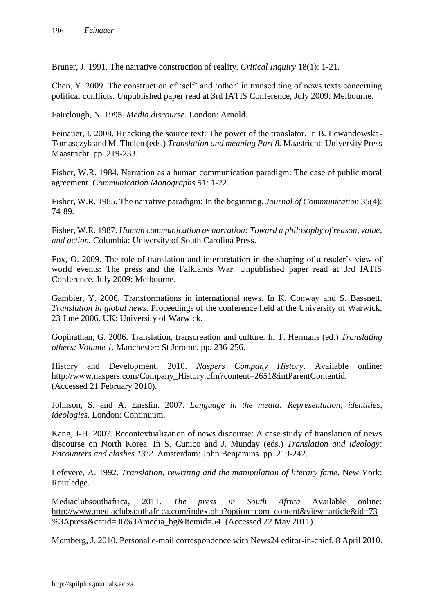Bruner, J. 1991. The narrative construction of reality. *Critical Inquiry* 18(1): 1-21.

Chen, Y. 2009. The construction of 'self' and 'other' in transediting of news texts concerning political conflicts. Unpublished paper read at 3rd IATIS Conference, July 2009: Melbourne.

Fairclough, N. 1995. *Media discourse.* London: Arnold.

Feinauer, I. 2008. Hijacking the source text: The power of the translator. In B. Lewandowska-Tomasczyk and M. Thelen (eds.) *Translation and meaning Part 8.* Maastricht: University Press Maastricht. pp. 219-233.

Fisher, W.R. 1984. Narration as a human communication paradigm: The case of public moral agreement. *Communication Monographs* 51: 1-22.

Fisher, W.R. 1985. The narrative paradigm: In the beginning. *Journal of Communication* 35(4): 74-89.

Fisher, W.R. 1987. *Human communication as narration: Toward a philosophy of reason, value, and action.* Columbia: University of South Carolina Press.

Fox, O. 2009. The role of translation and interpretation in the shaping of a reader's view of world events: The press and the Falklands War. Unpublished paper read at 3rd IATIS Conference, July 2009: Melbourne.

Gambier, Y. 2006. Transformations in international news. In K. Conway and S. Bassnett. *Translation in global news.* Proceedings of the conference held at the University of Warwick, 23 June 2006. UK: University of Warwick.

Gopinathan, G. 2006. Translation, transcreation and culture. In T. Hermans (ed.) *Translating others: Volume 1.* Manchester: St Jerome. pp. 236-256.

History and Development, 2010. *Naspers Company History*. Available online: http://www.naspers.com/Company\_History.cfm?content=2651&intParentContentid. (Accessed 21 February 2010).

Johnson, S. and A. Ensslin. 2007. *Language in the media: Representation, identities, ideologies.* London: Continuum.

Kang, J-H. 2007. Recontextualization of news discourse: A case study of translation of news discourse on North Korea. In S. Cunico and J. Munday (eds.) *[Translation and ideology:](file:///C:/Users/Robyn%20Berghoff/Desktop/2nd%20round%20SPIL/bbr_tsb.cgi%3fcmd=show&publ_id=13922)  [Encounters and clashes](file:///C:/Users/Robyn%20Berghoff/Desktop/2nd%20round%20SPIL/bbr_tsb.cgi%3fcmd=show&publ_id=13922) 13:2*. Amsterdam: John Benjamins. pp. 219-242.

Lefevere, A. 1992. *Translation, rewriting and the manipulation of literary fame*. New York: Routledge.

Mediaclubsouthafrica, 2011. *The press in South Africa* Available online: [http://www.mediaclubsouthafrica.com/index.php?option=com\\_content&view=article&id=73](http://www.mediaclubsouthafrica.com/index.php?option=com_content&view=article&id=73%3Apress&catid=36%3Amedia_bg&Itemid=54) [%3Apress&catid=36%3Amedia\\_bg&Itemid=54.](http://www.mediaclubsouthafrica.com/index.php?option=com_content&view=article&id=73%3Apress&catid=36%3Amedia_bg&Itemid=54) (Accessed 22 May 2011).

Momberg, J. 2010. Personal e-mail correspondence with News24 editor-in-chief. 8 April 2010.